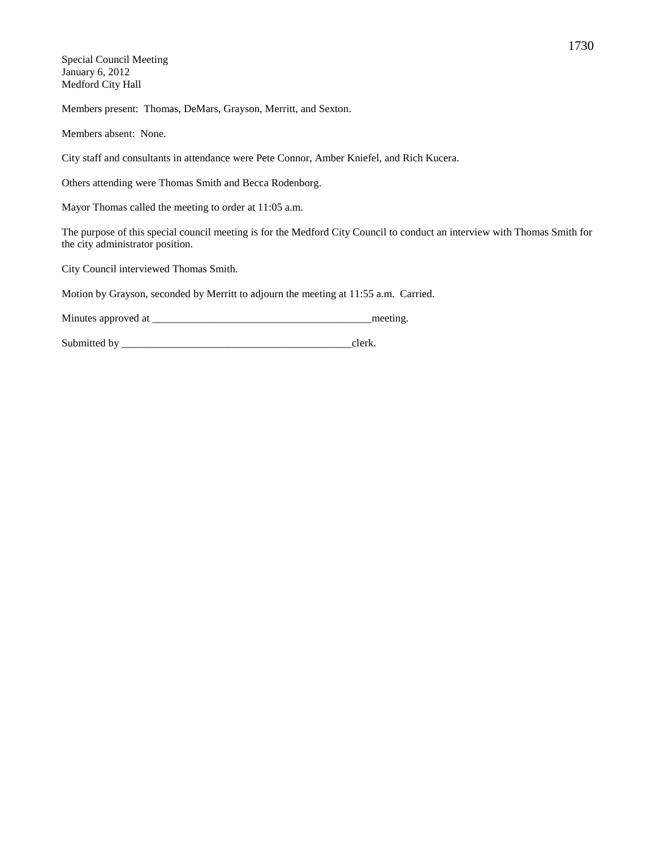Special Council Meeting January 6, 2012 Medford City Hall

Members present: Thomas, DeMars, Grayson, Merritt, and Sexton.

Members absent: None.

City staff and consultants in attendance were Pete Connor, Amber Kniefel, and Rich Kucera.

Others attending were Thomas Smith and Becca Rodenborg.

Mayor Thomas called the meeting to order at 11:05 a.m.

The purpose of this special council meeting is for the Medford City Council to conduct an interview with Thomas Smith for the city administrator position.

City Council interviewed Thomas Smith.

Motion by Grayson, seconded by Merritt to adjourn the meeting at 11:55 a.m. Carried.

Minutes approved at \_\_\_\_\_\_\_\_\_\_\_\_\_\_\_\_\_\_\_\_\_\_\_\_\_\_\_\_\_\_\_\_\_\_\_\_\_\_\_\_\_meeting.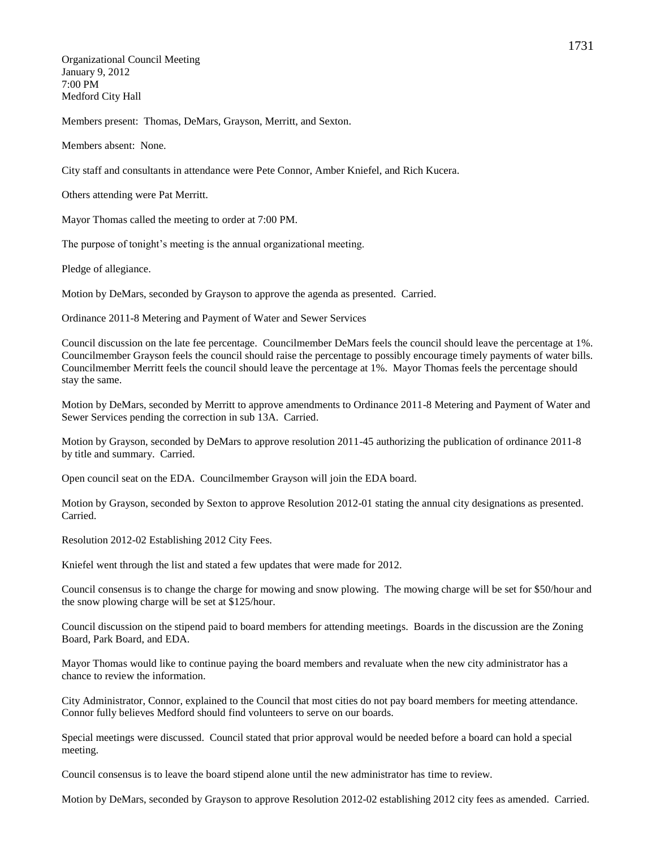Organizational Council Meeting January 9, 2012 7:00 PM Medford City Hall

Members present: Thomas, DeMars, Grayson, Merritt, and Sexton.

Members absent: None.

City staff and consultants in attendance were Pete Connor, Amber Kniefel, and Rich Kucera.

Others attending were Pat Merritt.

Mayor Thomas called the meeting to order at 7:00 PM.

The purpose of tonight's meeting is the annual organizational meeting.

Pledge of allegiance.

Motion by DeMars, seconded by Grayson to approve the agenda as presented. Carried.

Ordinance 2011-8 Metering and Payment of Water and Sewer Services

Council discussion on the late fee percentage. Councilmember DeMars feels the council should leave the percentage at 1%. Councilmember Grayson feels the council should raise the percentage to possibly encourage timely payments of water bills. Councilmember Merritt feels the council should leave the percentage at 1%. Mayor Thomas feels the percentage should stay the same.

Motion by DeMars, seconded by Merritt to approve amendments to Ordinance 2011-8 Metering and Payment of Water and Sewer Services pending the correction in sub 13A. Carried.

Motion by Grayson, seconded by DeMars to approve resolution 2011-45 authorizing the publication of ordinance 2011-8 by title and summary. Carried.

Open council seat on the EDA. Councilmember Grayson will join the EDA board.

Motion by Grayson, seconded by Sexton to approve Resolution 2012-01 stating the annual city designations as presented. Carried.

Resolution 2012-02 Establishing 2012 City Fees.

Kniefel went through the list and stated a few updates that were made for 2012.

Council consensus is to change the charge for mowing and snow plowing. The mowing charge will be set for \$50/hour and the snow plowing charge will be set at \$125/hour.

Council discussion on the stipend paid to board members for attending meetings. Boards in the discussion are the Zoning Board, Park Board, and EDA.

Mayor Thomas would like to continue paying the board members and revaluate when the new city administrator has a chance to review the information.

City Administrator, Connor, explained to the Council that most cities do not pay board members for meeting attendance. Connor fully believes Medford should find volunteers to serve on our boards.

Special meetings were discussed. Council stated that prior approval would be needed before a board can hold a special meeting.

Council consensus is to leave the board stipend alone until the new administrator has time to review.

Motion by DeMars, seconded by Grayson to approve Resolution 2012-02 establishing 2012 city fees as amended. Carried.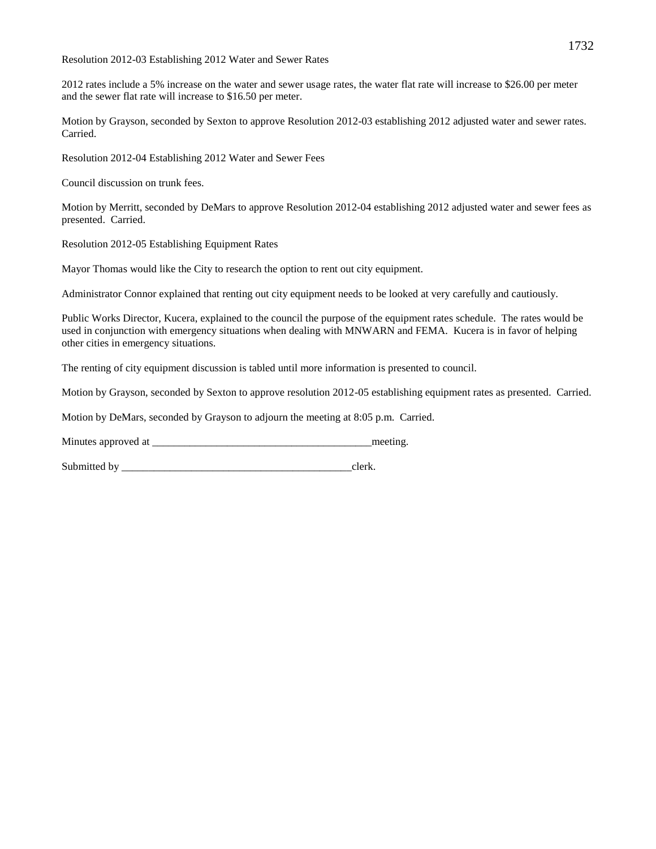Resolution 2012-03 Establishing 2012 Water and Sewer Rates

2012 rates include a 5% increase on the water and sewer usage rates, the water flat rate will increase to \$26.00 per meter and the sewer flat rate will increase to \$16.50 per meter.

Motion by Grayson, seconded by Sexton to approve Resolution 2012-03 establishing 2012 adjusted water and sewer rates. Carried.

Resolution 2012-04 Establishing 2012 Water and Sewer Fees

Council discussion on trunk fees.

Motion by Merritt, seconded by DeMars to approve Resolution 2012-04 establishing 2012 adjusted water and sewer fees as presented. Carried.

Resolution 2012-05 Establishing Equipment Rates

Mayor Thomas would like the City to research the option to rent out city equipment.

Administrator Connor explained that renting out city equipment needs to be looked at very carefully and cautiously.

Public Works Director, Kucera, explained to the council the purpose of the equipment rates schedule. The rates would be used in conjunction with emergency situations when dealing with MNWARN and FEMA. Kucera is in favor of helping other cities in emergency situations.

The renting of city equipment discussion is tabled until more information is presented to council.

Motion by Grayson, seconded by Sexton to approve resolution 2012-05 establishing equipment rates as presented. Carried.

Motion by DeMars, seconded by Grayson to adjourn the meeting at 8:05 p.m. Carried.

Minutes approved at \_\_\_\_\_\_\_\_\_\_\_\_\_\_\_\_\_\_\_\_\_\_\_\_\_\_\_\_\_\_\_\_\_\_\_\_\_\_\_\_\_meeting.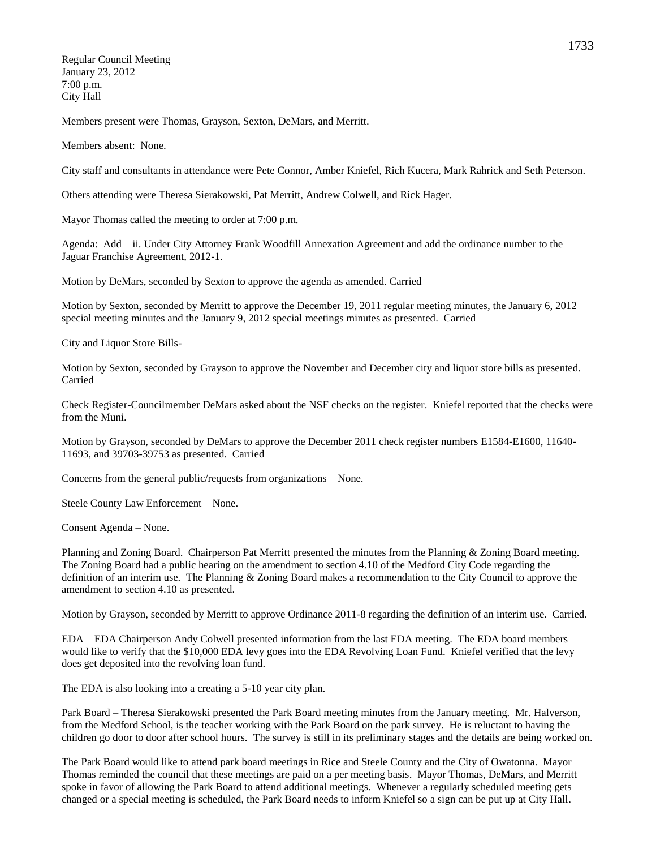Regular Council Meeting January 23, 2012 7:00 p.m. City Hall

Members present were Thomas, Grayson, Sexton, DeMars, and Merritt.

Members absent: None.

City staff and consultants in attendance were Pete Connor, Amber Kniefel, Rich Kucera, Mark Rahrick and Seth Peterson.

Others attending were Theresa Sierakowski, Pat Merritt, Andrew Colwell, and Rick Hager.

Mayor Thomas called the meeting to order at 7:00 p.m.

Agenda: Add – ii. Under City Attorney Frank Woodfill Annexation Agreement and add the ordinance number to the Jaguar Franchise Agreement, 2012-1.

Motion by DeMars, seconded by Sexton to approve the agenda as amended. Carried

Motion by Sexton, seconded by Merritt to approve the December 19, 2011 regular meeting minutes, the January 6, 2012 special meeting minutes and the January 9, 2012 special meetings minutes as presented. Carried

City and Liquor Store Bills-

Motion by Sexton, seconded by Grayson to approve the November and December city and liquor store bills as presented. Carried

Check Register-Councilmember DeMars asked about the NSF checks on the register. Kniefel reported that the checks were from the Muni.

Motion by Grayson, seconded by DeMars to approve the December 2011 check register numbers E1584-E1600, 11640- 11693, and 39703-39753 as presented. Carried

Concerns from the general public/requests from organizations – None.

Steele County Law Enforcement – None.

Consent Agenda – None.

Planning and Zoning Board. Chairperson Pat Merritt presented the minutes from the Planning & Zoning Board meeting. The Zoning Board had a public hearing on the amendment to section 4.10 of the Medford City Code regarding the definition of an interim use. The Planning & Zoning Board makes a recommendation to the City Council to approve the amendment to section 4.10 as presented.

Motion by Grayson, seconded by Merritt to approve Ordinance 2011-8 regarding the definition of an interim use. Carried.

EDA – EDA Chairperson Andy Colwell presented information from the last EDA meeting. The EDA board members would like to verify that the \$10,000 EDA levy goes into the EDA Revolving Loan Fund. Kniefel verified that the levy does get deposited into the revolving loan fund.

The EDA is also looking into a creating a 5-10 year city plan.

Park Board – Theresa Sierakowski presented the Park Board meeting minutes from the January meeting. Mr. Halverson, from the Medford School, is the teacher working with the Park Board on the park survey. He is reluctant to having the children go door to door after school hours. The survey is still in its preliminary stages and the details are being worked on.

The Park Board would like to attend park board meetings in Rice and Steele County and the City of Owatonna. Mayor Thomas reminded the council that these meetings are paid on a per meeting basis. Mayor Thomas, DeMars, and Merritt spoke in favor of allowing the Park Board to attend additional meetings. Whenever a regularly scheduled meeting gets changed or a special meeting is scheduled, the Park Board needs to inform Kniefel so a sign can be put up at City Hall.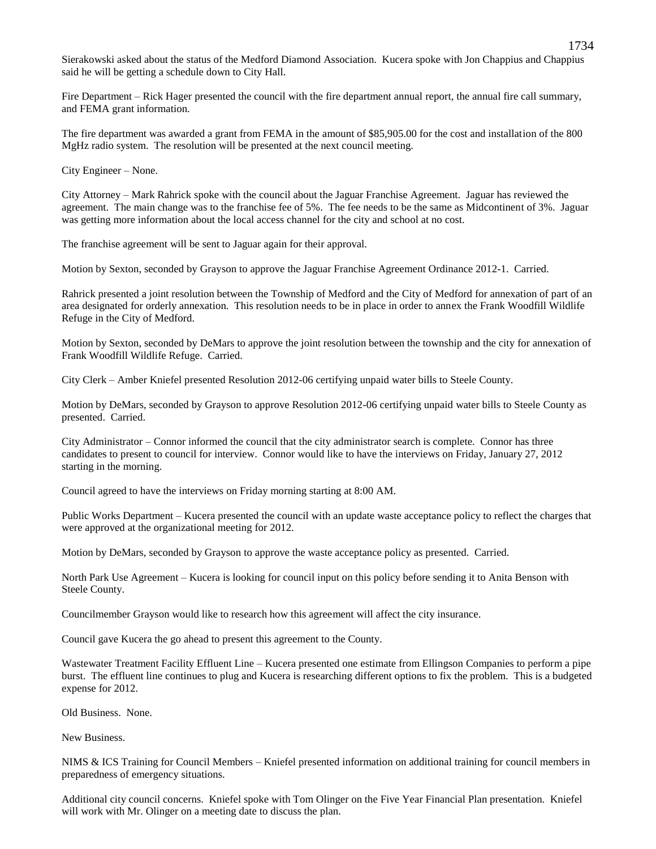Sierakowski asked about the status of the Medford Diamond Association. Kucera spoke with Jon Chappius and Chappius said he will be getting a schedule down to City Hall.

Fire Department – Rick Hager presented the council with the fire department annual report, the annual fire call summary, and FEMA grant information.

The fire department was awarded a grant from FEMA in the amount of \$85,905.00 for the cost and installation of the 800 MgHz radio system. The resolution will be presented at the next council meeting.

City Engineer – None.

City Attorney – Mark Rahrick spoke with the council about the Jaguar Franchise Agreement. Jaguar has reviewed the agreement. The main change was to the franchise fee of 5%. The fee needs to be the same as Midcontinent of 3%. Jaguar was getting more information about the local access channel for the city and school at no cost.

The franchise agreement will be sent to Jaguar again for their approval.

Motion by Sexton, seconded by Grayson to approve the Jaguar Franchise Agreement Ordinance 2012-1. Carried.

Rahrick presented a joint resolution between the Township of Medford and the City of Medford for annexation of part of an area designated for orderly annexation. This resolution needs to be in place in order to annex the Frank Woodfill Wildlife Refuge in the City of Medford.

Motion by Sexton, seconded by DeMars to approve the joint resolution between the township and the city for annexation of Frank Woodfill Wildlife Refuge. Carried.

City Clerk – Amber Kniefel presented Resolution 2012-06 certifying unpaid water bills to Steele County.

Motion by DeMars, seconded by Grayson to approve Resolution 2012-06 certifying unpaid water bills to Steele County as presented. Carried.

City Administrator – Connor informed the council that the city administrator search is complete. Connor has three candidates to present to council for interview. Connor would like to have the interviews on Friday, January 27, 2012 starting in the morning.

Council agreed to have the interviews on Friday morning starting at 8:00 AM.

Public Works Department – Kucera presented the council with an update waste acceptance policy to reflect the charges that were approved at the organizational meeting for 2012.

Motion by DeMars, seconded by Grayson to approve the waste acceptance policy as presented. Carried.

North Park Use Agreement – Kucera is looking for council input on this policy before sending it to Anita Benson with Steele County.

Councilmember Grayson would like to research how this agreement will affect the city insurance.

Council gave Kucera the go ahead to present this agreement to the County.

Wastewater Treatment Facility Effluent Line – Kucera presented one estimate from Ellingson Companies to perform a pipe burst. The effluent line continues to plug and Kucera is researching different options to fix the problem. This is a budgeted expense for 2012.

Old Business. None.

New Business.

NIMS & ICS Training for Council Members – Kniefel presented information on additional training for council members in preparedness of emergency situations.

Additional city council concerns. Kniefel spoke with Tom Olinger on the Five Year Financial Plan presentation. Kniefel will work with Mr. Olinger on a meeting date to discuss the plan.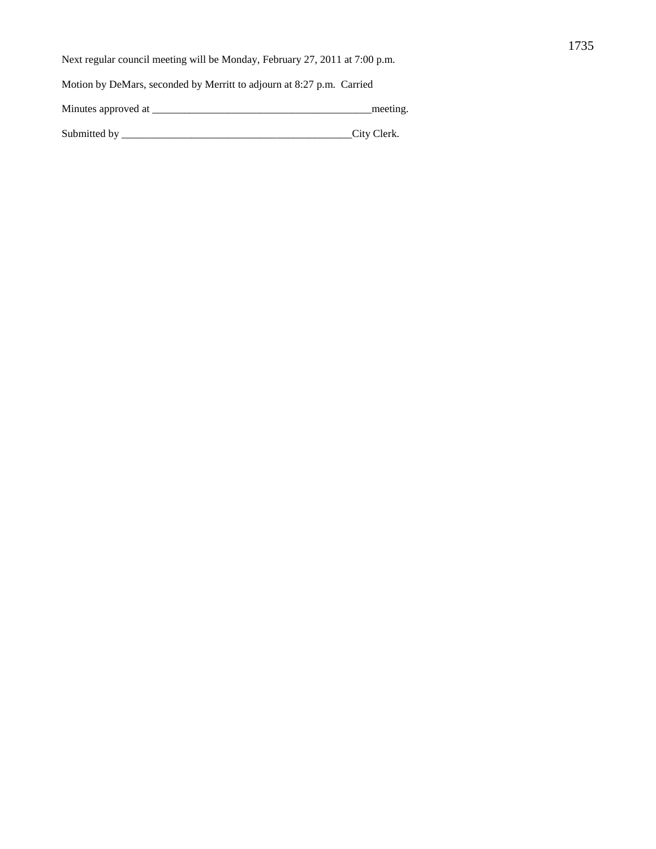Next regular council meeting will be Monday, February 27, 2011 at 7:00 p.m.

Motion by DeMars, seconded by Merritt to adjourn at 8:27 p.m. Carried

Minutes approved at \_\_\_\_\_\_\_\_\_\_\_\_\_\_\_\_\_\_\_\_\_\_\_\_\_\_\_\_\_\_\_\_\_\_\_\_\_\_\_\_\_meeting.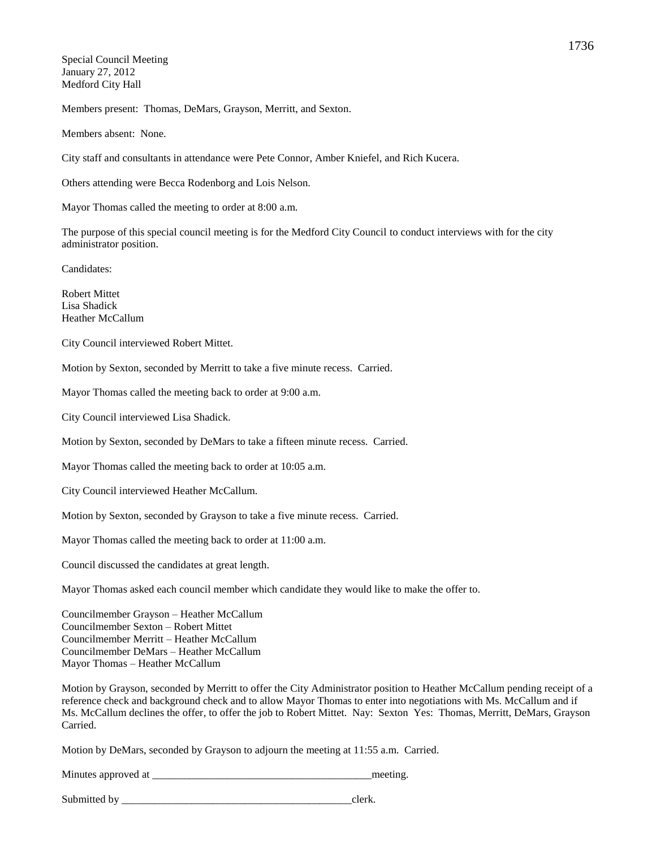Special Council Meeting January 27, 2012 Medford City Hall

Members present: Thomas, DeMars, Grayson, Merritt, and Sexton.

Members absent: None.

City staff and consultants in attendance were Pete Connor, Amber Kniefel, and Rich Kucera.

Others attending were Becca Rodenborg and Lois Nelson.

Mayor Thomas called the meeting to order at 8:00 a.m.

The purpose of this special council meeting is for the Medford City Council to conduct interviews with for the city administrator position.

Candidates:

Robert Mittet Lisa Shadick Heather McCallum

City Council interviewed Robert Mittet.

Motion by Sexton, seconded by Merritt to take a five minute recess. Carried.

Mayor Thomas called the meeting back to order at 9:00 a.m.

City Council interviewed Lisa Shadick.

Motion by Sexton, seconded by DeMars to take a fifteen minute recess. Carried.

Mayor Thomas called the meeting back to order at 10:05 a.m.

City Council interviewed Heather McCallum.

Motion by Sexton, seconded by Grayson to take a five minute recess. Carried.

Mayor Thomas called the meeting back to order at 11:00 a.m.

Council discussed the candidates at great length.

Mayor Thomas asked each council member which candidate they would like to make the offer to.

Councilmember Grayson – Heather McCallum Councilmember Sexton – Robert Mittet Councilmember Merritt – Heather McCallum Councilmember DeMars – Heather McCallum Mayor Thomas – Heather McCallum

Motion by Grayson, seconded by Merritt to offer the City Administrator position to Heather McCallum pending receipt of a reference check and background check and to allow Mayor Thomas to enter into negotiations with Ms. McCallum and if Ms. McCallum declines the offer, to offer the job to Robert Mittet. Nay: Sexton Yes: Thomas, Merritt, DeMars, Grayson Carried.

Motion by DeMars, seconded by Grayson to adjourn the meeting at 11:55 a.m. Carried.

Minutes approved at  $\Box$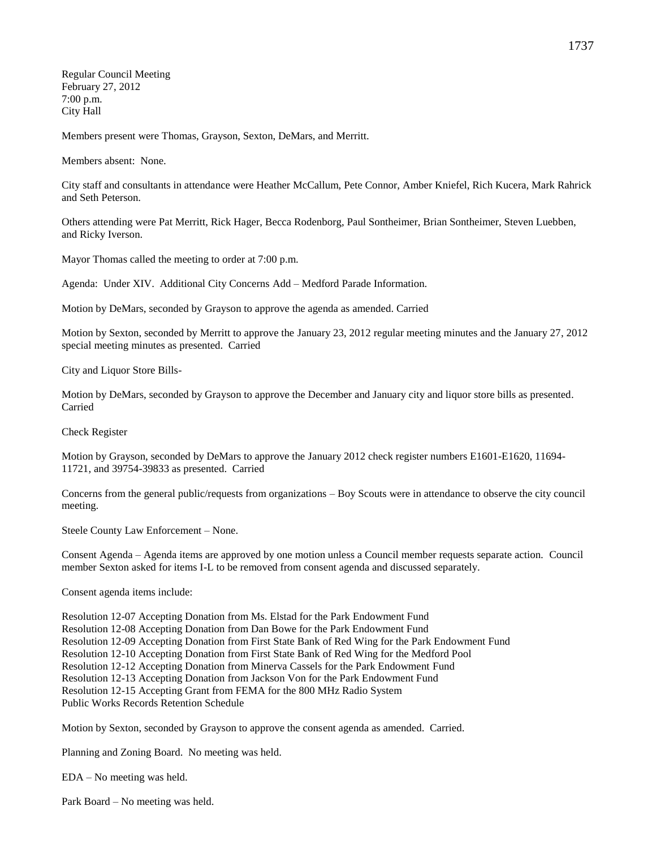Regular Council Meeting February 27, 2012 7:00 p.m. City Hall

Members present were Thomas, Grayson, Sexton, DeMars, and Merritt.

Members absent: None.

City staff and consultants in attendance were Heather McCallum, Pete Connor, Amber Kniefel, Rich Kucera, Mark Rahrick and Seth Peterson.

Others attending were Pat Merritt, Rick Hager, Becca Rodenborg, Paul Sontheimer, Brian Sontheimer, Steven Luebben, and Ricky Iverson.

Mayor Thomas called the meeting to order at 7:00 p.m.

Agenda: Under XIV. Additional City Concerns Add – Medford Parade Information.

Motion by DeMars, seconded by Grayson to approve the agenda as amended. Carried

Motion by Sexton, seconded by Merritt to approve the January 23, 2012 regular meeting minutes and the January 27, 2012 special meeting minutes as presented. Carried

City and Liquor Store Bills-

Motion by DeMars, seconded by Grayson to approve the December and January city and liquor store bills as presented. Carried

Check Register

Motion by Grayson, seconded by DeMars to approve the January 2012 check register numbers E1601-E1620, 11694- 11721, and 39754-39833 as presented. Carried

Concerns from the general public/requests from organizations – Boy Scouts were in attendance to observe the city council meeting.

Steele County Law Enforcement – None.

Consent Agenda – Agenda items are approved by one motion unless a Council member requests separate action. Council member Sexton asked for items I-L to be removed from consent agenda and discussed separately.

Consent agenda items include:

Resolution 12-07 Accepting Donation from Ms. Elstad for the Park Endowment Fund Resolution 12-08 Accepting Donation from Dan Bowe for the Park Endowment Fund Resolution 12-09 Accepting Donation from First State Bank of Red Wing for the Park Endowment Fund Resolution 12-10 Accepting Donation from First State Bank of Red Wing for the Medford Pool Resolution 12-12 Accepting Donation from Minerva Cassels for the Park Endowment Fund Resolution 12-13 Accepting Donation from Jackson Von for the Park Endowment Fund Resolution 12-15 Accepting Grant from FEMA for the 800 MHz Radio System Public Works Records Retention Schedule

Motion by Sexton, seconded by Grayson to approve the consent agenda as amended. Carried.

Planning and Zoning Board. No meeting was held.

EDA – No meeting was held.

Park Board – No meeting was held.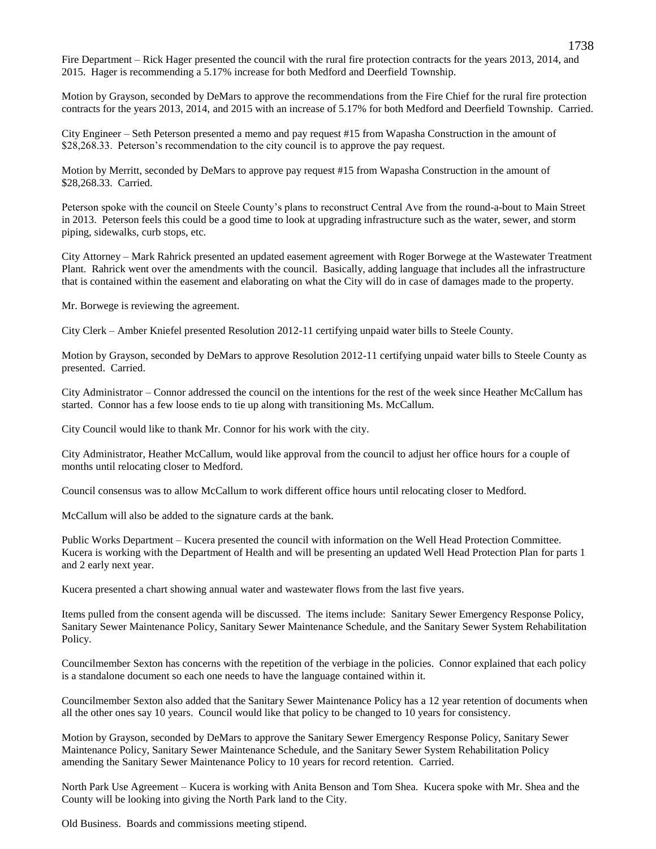Fire Department – Rick Hager presented the council with the rural fire protection contracts for the years 2013, 2014, and 2015. Hager is recommending a 5.17% increase for both Medford and Deerfield Township.

Motion by Grayson, seconded by DeMars to approve the recommendations from the Fire Chief for the rural fire protection contracts for the years 2013, 2014, and 2015 with an increase of 5.17% for both Medford and Deerfield Township. Carried.

City Engineer – Seth Peterson presented a memo and pay request #15 from Wapasha Construction in the amount of \$28,268.33. Peterson's recommendation to the city council is to approve the pay request.

Motion by Merritt, seconded by DeMars to approve pay request #15 from Wapasha Construction in the amount of \$28,268.33. Carried.

Peterson spoke with the council on Steele County's plans to reconstruct Central Ave from the round-a-bout to Main Street in 2013. Peterson feels this could be a good time to look at upgrading infrastructure such as the water, sewer, and storm piping, sidewalks, curb stops, etc.

City Attorney – Mark Rahrick presented an updated easement agreement with Roger Borwege at the Wastewater Treatment Plant. Rahrick went over the amendments with the council. Basically, adding language that includes all the infrastructure that is contained within the easement and elaborating on what the City will do in case of damages made to the property.

Mr. Borwege is reviewing the agreement.

City Clerk – Amber Kniefel presented Resolution 2012-11 certifying unpaid water bills to Steele County.

Motion by Grayson, seconded by DeMars to approve Resolution 2012-11 certifying unpaid water bills to Steele County as presented. Carried.

City Administrator – Connor addressed the council on the intentions for the rest of the week since Heather McCallum has started. Connor has a few loose ends to tie up along with transitioning Ms. McCallum.

City Council would like to thank Mr. Connor for his work with the city.

City Administrator, Heather McCallum, would like approval from the council to adjust her office hours for a couple of months until relocating closer to Medford.

Council consensus was to allow McCallum to work different office hours until relocating closer to Medford.

McCallum will also be added to the signature cards at the bank.

Public Works Department – Kucera presented the council with information on the Well Head Protection Committee. Kucera is working with the Department of Health and will be presenting an updated Well Head Protection Plan for parts 1 and 2 early next year.

Kucera presented a chart showing annual water and wastewater flows from the last five years.

Items pulled from the consent agenda will be discussed. The items include: Sanitary Sewer Emergency Response Policy, Sanitary Sewer Maintenance Policy, Sanitary Sewer Maintenance Schedule, and the Sanitary Sewer System Rehabilitation Policy.

Councilmember Sexton has concerns with the repetition of the verbiage in the policies. Connor explained that each policy is a standalone document so each one needs to have the language contained within it.

Councilmember Sexton also added that the Sanitary Sewer Maintenance Policy has a 12 year retention of documents when all the other ones say 10 years. Council would like that policy to be changed to 10 years for consistency.

Motion by Grayson, seconded by DeMars to approve the Sanitary Sewer Emergency Response Policy, Sanitary Sewer Maintenance Policy, Sanitary Sewer Maintenance Schedule, and the Sanitary Sewer System Rehabilitation Policy amending the Sanitary Sewer Maintenance Policy to 10 years for record retention. Carried.

North Park Use Agreement – Kucera is working with Anita Benson and Tom Shea. Kucera spoke with Mr. Shea and the County will be looking into giving the North Park land to the City.

Old Business. Boards and commissions meeting stipend.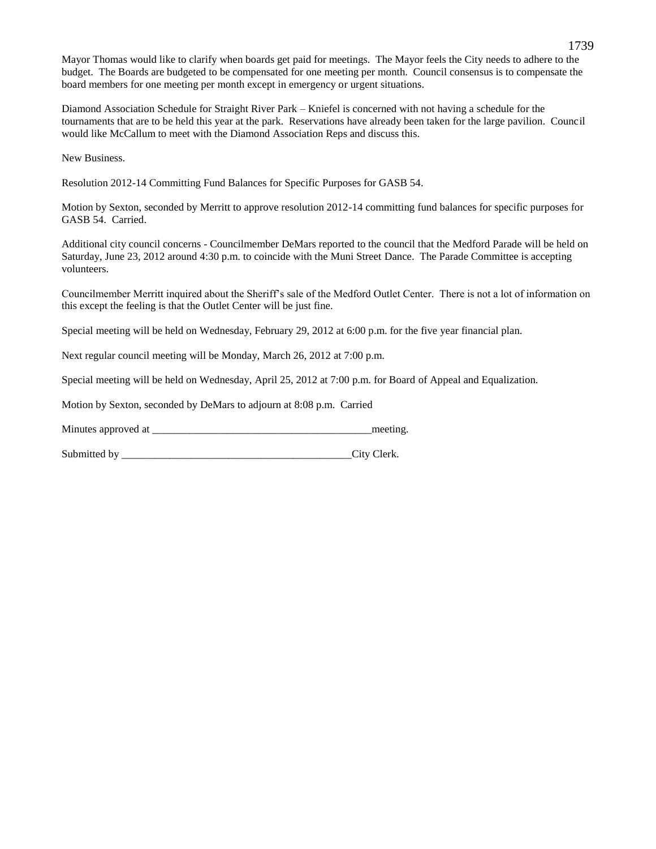Mayor Thomas would like to clarify when boards get paid for meetings. The Mayor feels the City needs to adhere to the budget. The Boards are budgeted to be compensated for one meeting per month. Council consensus is to compensate the board members for one meeting per month except in emergency or urgent situations.

Diamond Association Schedule for Straight River Park – Kniefel is concerned with not having a schedule for the tournaments that are to be held this year at the park. Reservations have already been taken for the large pavilion. Council would like McCallum to meet with the Diamond Association Reps and discuss this.

New Business.

Resolution 2012-14 Committing Fund Balances for Specific Purposes for GASB 54.

Motion by Sexton, seconded by Merritt to approve resolution 2012-14 committing fund balances for specific purposes for GASB 54. Carried.

Additional city council concerns - Councilmember DeMars reported to the council that the Medford Parade will be held on Saturday, June 23, 2012 around 4:30 p.m. to coincide with the Muni Street Dance. The Parade Committee is accepting volunteers.

Councilmember Merritt inquired about the Sheriff's sale of the Medford Outlet Center. There is not a lot of information on this except the feeling is that the Outlet Center will be just fine.

Special meeting will be held on Wednesday, February 29, 2012 at 6:00 p.m. for the five year financial plan.

Next regular council meeting will be Monday, March 26, 2012 at 7:00 p.m.

Special meeting will be held on Wednesday, April 25, 2012 at 7:00 p.m. for Board of Appeal and Equalization.

Motion by Sexton, seconded by DeMars to adjourn at 8:08 p.m. Carried

Minutes approved at \_\_\_\_\_\_\_\_\_\_\_\_\_\_\_\_\_\_\_\_\_\_\_\_\_\_\_\_\_\_\_\_\_\_\_\_\_\_\_\_\_meeting.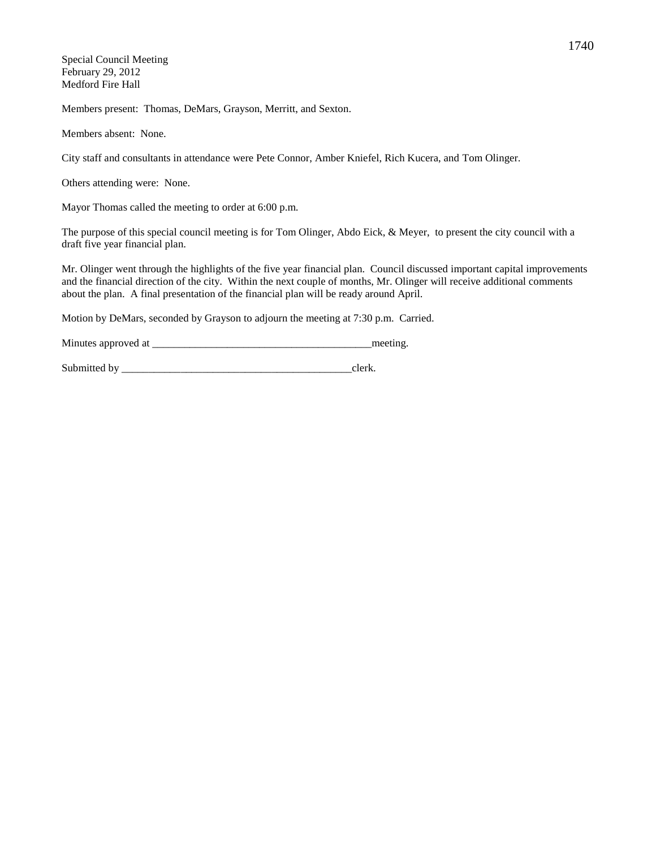Special Council Meeting February 29, 2012 Medford Fire Hall

Members present: Thomas, DeMars, Grayson, Merritt, and Sexton.

Members absent: None.

City staff and consultants in attendance were Pete Connor, Amber Kniefel, Rich Kucera, and Tom Olinger.

Others attending were: None.

Mayor Thomas called the meeting to order at 6:00 p.m.

The purpose of this special council meeting is for Tom Olinger, Abdo Eick, & Meyer, to present the city council with a draft five year financial plan.

Mr. Olinger went through the highlights of the five year financial plan. Council discussed important capital improvements and the financial direction of the city. Within the next couple of months, Mr. Olinger will receive additional comments about the plan. A final presentation of the financial plan will be ready around April.

Motion by DeMars, seconded by Grayson to adjourn the meeting at 7:30 p.m. Carried.

Minutes approved at \_\_\_\_\_\_\_\_\_\_\_\_\_\_\_\_\_\_\_\_\_\_\_\_\_\_\_\_\_\_\_\_\_\_\_\_\_\_\_\_\_meeting.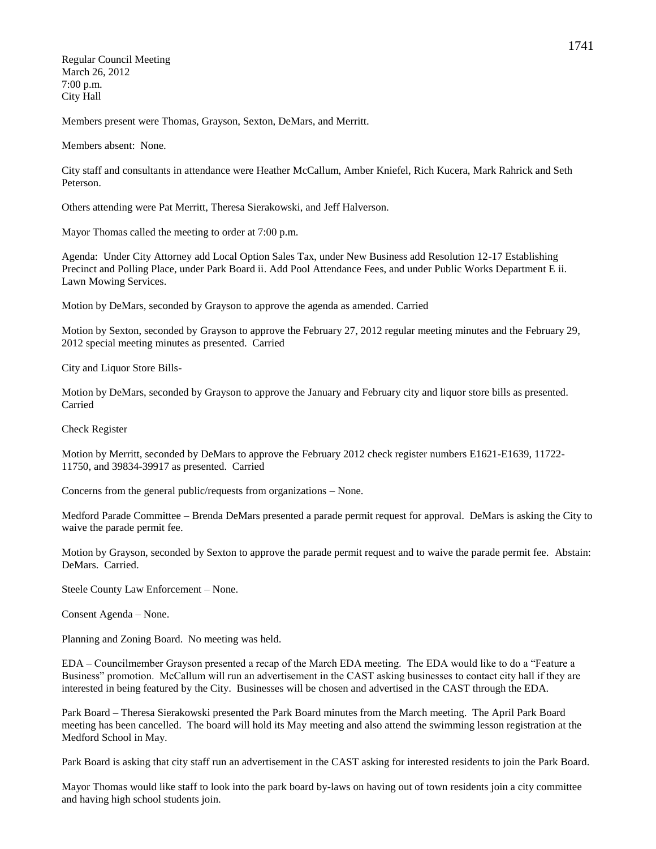Regular Council Meeting March 26, 2012 7:00 p.m. City Hall

Members present were Thomas, Grayson, Sexton, DeMars, and Merritt.

Members absent: None.

City staff and consultants in attendance were Heather McCallum, Amber Kniefel, Rich Kucera, Mark Rahrick and Seth Peterson.

Others attending were Pat Merritt, Theresa Sierakowski, and Jeff Halverson.

Mayor Thomas called the meeting to order at 7:00 p.m.

Agenda: Under City Attorney add Local Option Sales Tax, under New Business add Resolution 12-17 Establishing Precinct and Polling Place, under Park Board ii. Add Pool Attendance Fees, and under Public Works Department E ii. Lawn Mowing Services.

Motion by DeMars, seconded by Grayson to approve the agenda as amended. Carried

Motion by Sexton, seconded by Grayson to approve the February 27, 2012 regular meeting minutes and the February 29, 2012 special meeting minutes as presented. Carried

City and Liquor Store Bills-

Motion by DeMars, seconded by Grayson to approve the January and February city and liquor store bills as presented. Carried

Check Register

Motion by Merritt, seconded by DeMars to approve the February 2012 check register numbers E1621-E1639, 11722- 11750, and 39834-39917 as presented. Carried

Concerns from the general public/requests from organizations – None.

Medford Parade Committee – Brenda DeMars presented a parade permit request for approval. DeMars is asking the City to waive the parade permit fee.

Motion by Grayson, seconded by Sexton to approve the parade permit request and to waive the parade permit fee. Abstain: DeMars. Carried.

Steele County Law Enforcement – None.

Consent Agenda – None.

Planning and Zoning Board. No meeting was held.

EDA – Councilmember Grayson presented a recap of the March EDA meeting. The EDA would like to do a "Feature a Business" promotion. McCallum will run an advertisement in the CAST asking businesses to contact city hall if they are interested in being featured by the City. Businesses will be chosen and advertised in the CAST through the EDA.

Park Board – Theresa Sierakowski presented the Park Board minutes from the March meeting. The April Park Board meeting has been cancelled. The board will hold its May meeting and also attend the swimming lesson registration at the Medford School in May.

Park Board is asking that city staff run an advertisement in the CAST asking for interested residents to join the Park Board.

Mayor Thomas would like staff to look into the park board by-laws on having out of town residents join a city committee and having high school students join.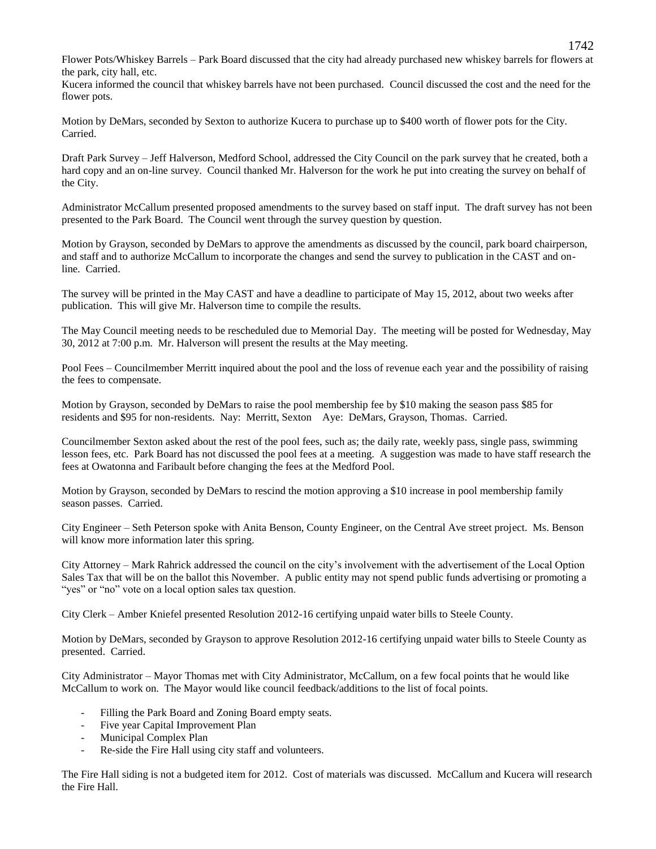Flower Pots/Whiskey Barrels – Park Board discussed that the city had already purchased new whiskey barrels for flowers at the park, city hall, etc.

Kucera informed the council that whiskey barrels have not been purchased. Council discussed the cost and the need for the flower pots.

Motion by DeMars, seconded by Sexton to authorize Kucera to purchase up to \$400 worth of flower pots for the City. Carried.

Draft Park Survey – Jeff Halverson, Medford School, addressed the City Council on the park survey that he created, both a hard copy and an on-line survey. Council thanked Mr. Halverson for the work he put into creating the survey on behalf of the City.

Administrator McCallum presented proposed amendments to the survey based on staff input. The draft survey has not been presented to the Park Board. The Council went through the survey question by question.

Motion by Grayson, seconded by DeMars to approve the amendments as discussed by the council, park board chairperson, and staff and to authorize McCallum to incorporate the changes and send the survey to publication in the CAST and online. Carried.

The survey will be printed in the May CAST and have a deadline to participate of May 15, 2012, about two weeks after publication. This will give Mr. Halverson time to compile the results.

The May Council meeting needs to be rescheduled due to Memorial Day. The meeting will be posted for Wednesday, May 30, 2012 at 7:00 p.m. Mr. Halverson will present the results at the May meeting.

Pool Fees – Councilmember Merritt inquired about the pool and the loss of revenue each year and the possibility of raising the fees to compensate.

Motion by Grayson, seconded by DeMars to raise the pool membership fee by \$10 making the season pass \$85 for residents and \$95 for non-residents. Nay: Merritt, Sexton Aye: DeMars, Grayson, Thomas. Carried.

Councilmember Sexton asked about the rest of the pool fees, such as; the daily rate, weekly pass, single pass, swimming lesson fees, etc. Park Board has not discussed the pool fees at a meeting. A suggestion was made to have staff research the fees at Owatonna and Faribault before changing the fees at the Medford Pool.

Motion by Grayson, seconded by DeMars to rescind the motion approving a \$10 increase in pool membership family season passes. Carried.

City Engineer – Seth Peterson spoke with Anita Benson, County Engineer, on the Central Ave street project. Ms. Benson will know more information later this spring.

City Attorney – Mark Rahrick addressed the council on the city's involvement with the advertisement of the Local Option Sales Tax that will be on the ballot this November. A public entity may not spend public funds advertising or promoting a "yes" or "no" vote on a local option sales tax question.

City Clerk – Amber Kniefel presented Resolution 2012-16 certifying unpaid water bills to Steele County.

Motion by DeMars, seconded by Grayson to approve Resolution 2012-16 certifying unpaid water bills to Steele County as presented. Carried.

City Administrator – Mayor Thomas met with City Administrator, McCallum, on a few focal points that he would like McCallum to work on. The Mayor would like council feedback/additions to the list of focal points.

- Filling the Park Board and Zoning Board empty seats.
- Five year Capital Improvement Plan
- Municipal Complex Plan
- Re-side the Fire Hall using city staff and volunteers.

The Fire Hall siding is not a budgeted item for 2012. Cost of materials was discussed. McCallum and Kucera will research the Fire Hall.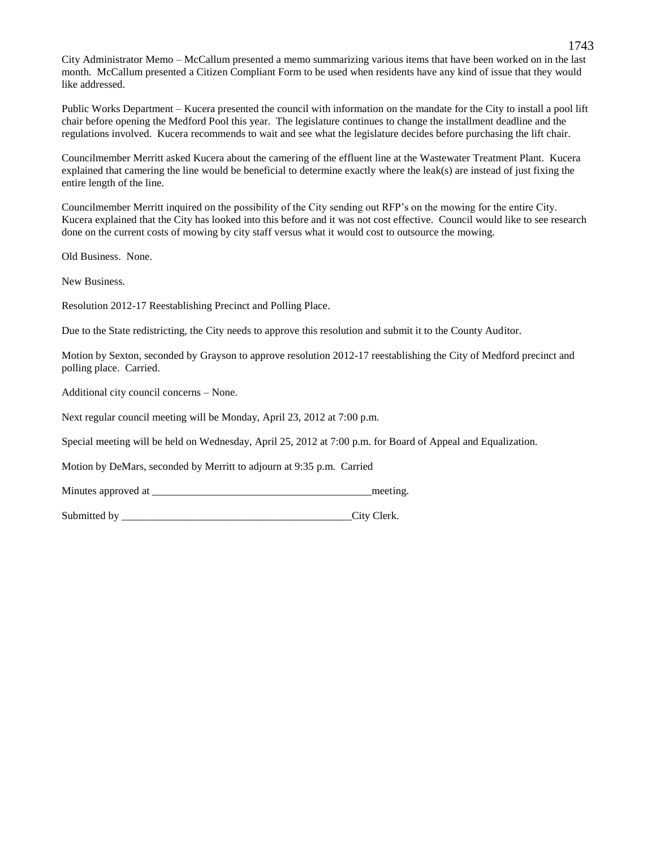City Administrator Memo – McCallum presented a memo summarizing various items that have been worked on in the last month. McCallum presented a Citizen Compliant Form to be used when residents have any kind of issue that they would like addressed.

Public Works Department – Kucera presented the council with information on the mandate for the City to install a pool lift chair before opening the Medford Pool this year. The legislature continues to change the installment deadline and the regulations involved. Kucera recommends to wait and see what the legislature decides before purchasing the lift chair.

Councilmember Merritt asked Kucera about the camering of the effluent line at the Wastewater Treatment Plant. Kucera explained that camering the line would be beneficial to determine exactly where the leak(s) are instead of just fixing the entire length of the line.

Councilmember Merritt inquired on the possibility of the City sending out RFP's on the mowing for the entire City. Kucera explained that the City has looked into this before and it was not cost effective. Council would like to see research done on the current costs of mowing by city staff versus what it would cost to outsource the mowing.

Old Business. None.

New Business.

Resolution 2012-17 Reestablishing Precinct and Polling Place.

Due to the State redistricting, the City needs to approve this resolution and submit it to the County Auditor.

Motion by Sexton, seconded by Grayson to approve resolution 2012-17 reestablishing the City of Medford precinct and polling place. Carried.

Additional city council concerns – None.

Next regular council meeting will be Monday, April 23, 2012 at 7:00 p.m.

Special meeting will be held on Wednesday, April 25, 2012 at 7:00 p.m. for Board of Appeal and Equalization.

Motion by DeMars, seconded by Merritt to adjourn at 9:35 p.m. Carried

Minutes approved at the meeting.

Submitted by City Clerk.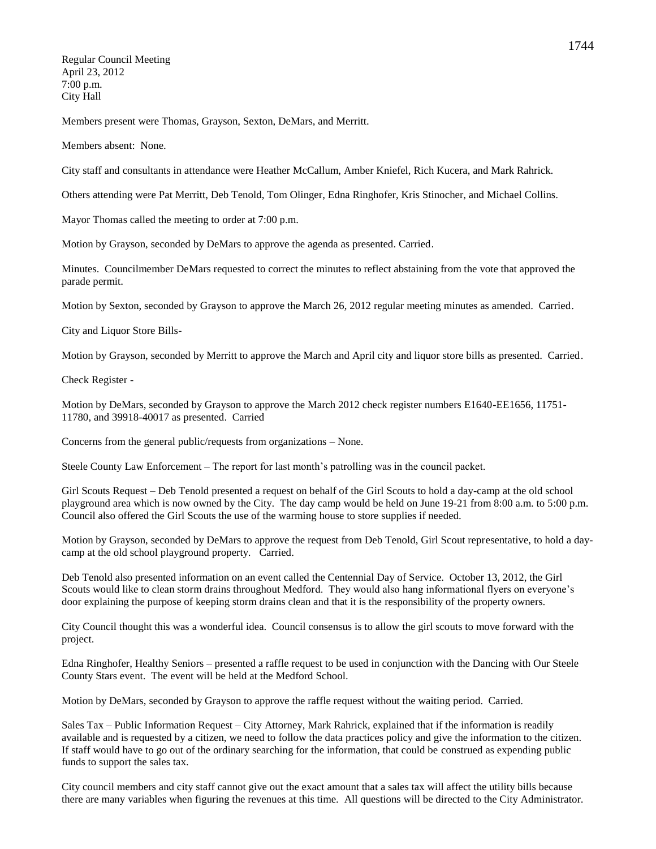Regular Council Meeting April 23, 2012 7:00 p.m. City Hall

Members present were Thomas, Grayson, Sexton, DeMars, and Merritt.

Members absent: None.

City staff and consultants in attendance were Heather McCallum, Amber Kniefel, Rich Kucera, and Mark Rahrick.

Others attending were Pat Merritt, Deb Tenold, Tom Olinger, Edna Ringhofer, Kris Stinocher, and Michael Collins.

Mayor Thomas called the meeting to order at 7:00 p.m.

Motion by Grayson, seconded by DeMars to approve the agenda as presented. Carried.

Minutes. Councilmember DeMars requested to correct the minutes to reflect abstaining from the vote that approved the parade permit.

Motion by Sexton, seconded by Grayson to approve the March 26, 2012 regular meeting minutes as amended. Carried.

City and Liquor Store Bills-

Motion by Grayson, seconded by Merritt to approve the March and April city and liquor store bills as presented. Carried.

Check Register -

Motion by DeMars, seconded by Grayson to approve the March 2012 check register numbers E1640-EE1656, 11751- 11780, and 39918-40017 as presented. Carried

Concerns from the general public/requests from organizations – None.

Steele County Law Enforcement – The report for last month's patrolling was in the council packet.

Girl Scouts Request – Deb Tenold presented a request on behalf of the Girl Scouts to hold a day-camp at the old school playground area which is now owned by the City. The day camp would be held on June 19-21 from 8:00 a.m. to 5:00 p.m. Council also offered the Girl Scouts the use of the warming house to store supplies if needed.

Motion by Grayson, seconded by DeMars to approve the request from Deb Tenold, Girl Scout representative, to hold a daycamp at the old school playground property. Carried.

Deb Tenold also presented information on an event called the Centennial Day of Service. October 13, 2012, the Girl Scouts would like to clean storm drains throughout Medford. They would also hang informational flyers on everyone's door explaining the purpose of keeping storm drains clean and that it is the responsibility of the property owners.

City Council thought this was a wonderful idea. Council consensus is to allow the girl scouts to move forward with the project.

Edna Ringhofer, Healthy Seniors – presented a raffle request to be used in conjunction with the Dancing with Our Steele County Stars event. The event will be held at the Medford School.

Motion by DeMars, seconded by Grayson to approve the raffle request without the waiting period. Carried.

Sales Tax – Public Information Request – City Attorney, Mark Rahrick, explained that if the information is readily available and is requested by a citizen, we need to follow the data practices policy and give the information to the citizen. If staff would have to go out of the ordinary searching for the information, that could be construed as expending public funds to support the sales tax.

City council members and city staff cannot give out the exact amount that a sales tax will affect the utility bills because there are many variables when figuring the revenues at this time. All questions will be directed to the City Administrator.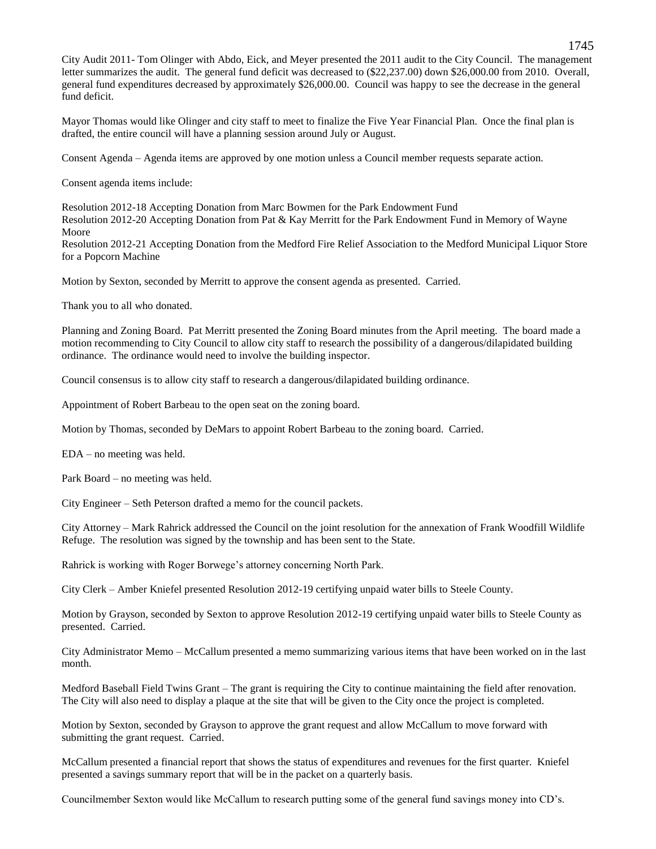City Audit 2011- Tom Olinger with Abdo, Eick, and Meyer presented the 2011 audit to the City Council. The management letter summarizes the audit. The general fund deficit was decreased to  $(\$22,237.00)$  down \$26,000.00 from 2010. Overall, general fund expenditures decreased by approximately \$26,000.00. Council was happy to see the decrease in the general fund deficit.

Mayor Thomas would like Olinger and city staff to meet to finalize the Five Year Financial Plan. Once the final plan is drafted, the entire council will have a planning session around July or August.

Consent Agenda – Agenda items are approved by one motion unless a Council member requests separate action.

Consent agenda items include:

Resolution 2012-18 Accepting Donation from Marc Bowmen for the Park Endowment Fund Resolution 2012-20 Accepting Donation from Pat & Kay Merritt for the Park Endowment Fund in Memory of Wayne Moore

Resolution 2012-21 Accepting Donation from the Medford Fire Relief Association to the Medford Municipal Liquor Store for a Popcorn Machine

Motion by Sexton, seconded by Merritt to approve the consent agenda as presented. Carried.

Thank you to all who donated.

Planning and Zoning Board. Pat Merritt presented the Zoning Board minutes from the April meeting. The board made a motion recommending to City Council to allow city staff to research the possibility of a dangerous/dilapidated building ordinance. The ordinance would need to involve the building inspector.

Council consensus is to allow city staff to research a dangerous/dilapidated building ordinance.

Appointment of Robert Barbeau to the open seat on the zoning board.

Motion by Thomas, seconded by DeMars to appoint Robert Barbeau to the zoning board. Carried.

EDA – no meeting was held.

Park Board – no meeting was held.

City Engineer – Seth Peterson drafted a memo for the council packets.

City Attorney – Mark Rahrick addressed the Council on the joint resolution for the annexation of Frank Woodfill Wildlife Refuge. The resolution was signed by the township and has been sent to the State.

Rahrick is working with Roger Borwege's attorney concerning North Park.

City Clerk – Amber Kniefel presented Resolution 2012-19 certifying unpaid water bills to Steele County.

Motion by Grayson, seconded by Sexton to approve Resolution 2012-19 certifying unpaid water bills to Steele County as presented. Carried.

City Administrator Memo – McCallum presented a memo summarizing various items that have been worked on in the last month.

Medford Baseball Field Twins Grant – The grant is requiring the City to continue maintaining the field after renovation. The City will also need to display a plaque at the site that will be given to the City once the project is completed.

Motion by Sexton, seconded by Grayson to approve the grant request and allow McCallum to move forward with submitting the grant request. Carried.

McCallum presented a financial report that shows the status of expenditures and revenues for the first quarter. Kniefel presented a savings summary report that will be in the packet on a quarterly basis.

Councilmember Sexton would like McCallum to research putting some of the general fund savings money into CD's.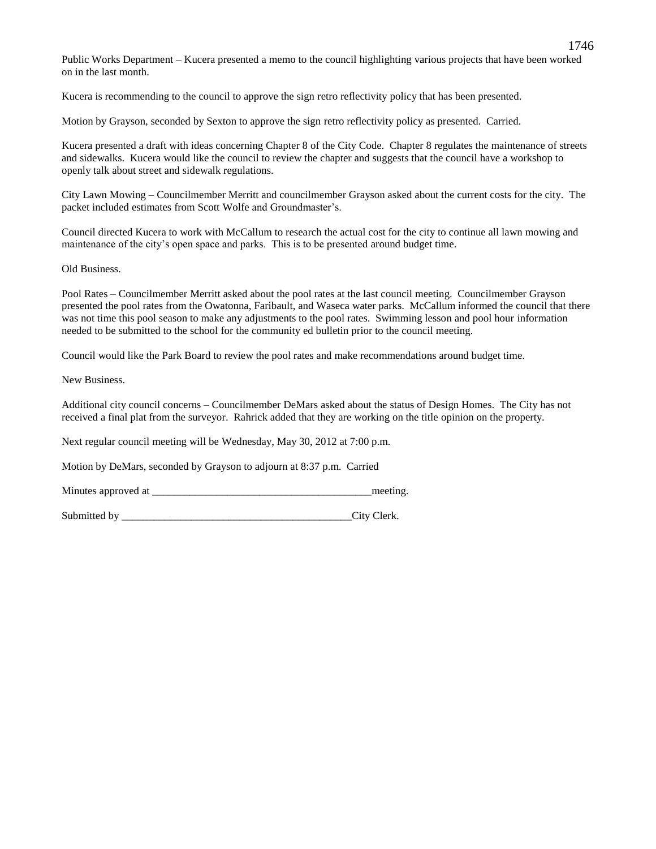Public Works Department – Kucera presented a memo to the council highlighting various projects that have been worked on in the last month.

Kucera is recommending to the council to approve the sign retro reflectivity policy that has been presented.

Motion by Grayson, seconded by Sexton to approve the sign retro reflectivity policy as presented. Carried.

Kucera presented a draft with ideas concerning Chapter 8 of the City Code. Chapter 8 regulates the maintenance of streets and sidewalks. Kucera would like the council to review the chapter and suggests that the council have a workshop to openly talk about street and sidewalk regulations.

City Lawn Mowing – Councilmember Merritt and councilmember Grayson asked about the current costs for the city. The packet included estimates from Scott Wolfe and Groundmaster's.

Council directed Kucera to work with McCallum to research the actual cost for the city to continue all lawn mowing and maintenance of the city's open space and parks. This is to be presented around budget time.

Old Business.

Pool Rates – Councilmember Merritt asked about the pool rates at the last council meeting. Councilmember Grayson presented the pool rates from the Owatonna, Faribault, and Waseca water parks. McCallum informed the council that there was not time this pool season to make any adjustments to the pool rates. Swimming lesson and pool hour information needed to be submitted to the school for the community ed bulletin prior to the council meeting.

Council would like the Park Board to review the pool rates and make recommendations around budget time.

New Business.

Additional city council concerns – Councilmember DeMars asked about the status of Design Homes. The City has not received a final plat from the surveyor. Rahrick added that they are working on the title opinion on the property.

Next regular council meeting will be Wednesday, May 30, 2012 at 7:00 p.m.

Motion by DeMars, seconded by Grayson to adjourn at 8:37 p.m. Carried

| Minutes approved at |  | meeting |
|---------------------|--|---------|
|---------------------|--|---------|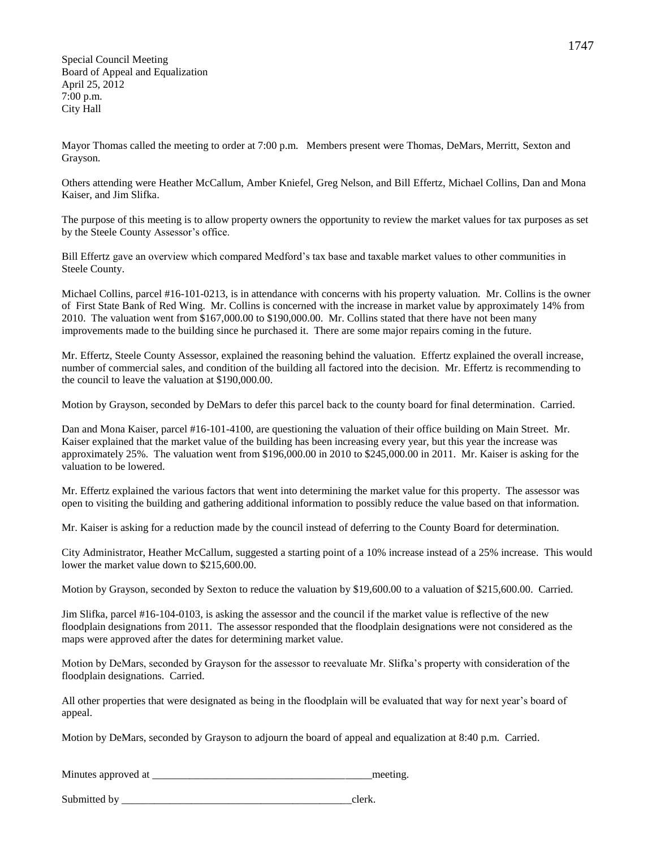Special Council Meeting Board of Appeal and Equalization April 25, 2012 7:00 p.m. City Hall

Mayor Thomas called the meeting to order at 7:00 p.m. Members present were Thomas, DeMars, Merritt, Sexton and Grayson.

Others attending were Heather McCallum, Amber Kniefel, Greg Nelson, and Bill Effertz, Michael Collins, Dan and Mona Kaiser, and Jim Slifka.

The purpose of this meeting is to allow property owners the opportunity to review the market values for tax purposes as set by the Steele County Assessor's office.

Bill Effertz gave an overview which compared Medford's tax base and taxable market values to other communities in Steele County.

Michael Collins, parcel #16-101-0213, is in attendance with concerns with his property valuation. Mr. Collins is the owner of First State Bank of Red Wing. Mr. Collins is concerned with the increase in market value by approximately 14% from 2010. The valuation went from \$167,000.00 to \$190,000.00. Mr. Collins stated that there have not been many improvements made to the building since he purchased it. There are some major repairs coming in the future.

Mr. Effertz, Steele County Assessor, explained the reasoning behind the valuation. Effertz explained the overall increase, number of commercial sales, and condition of the building all factored into the decision. Mr. Effertz is recommending to the council to leave the valuation at \$190,000.00.

Motion by Grayson, seconded by DeMars to defer this parcel back to the county board for final determination. Carried.

Dan and Mona Kaiser, parcel #16-101-4100, are questioning the valuation of their office building on Main Street. Mr. Kaiser explained that the market value of the building has been increasing every year, but this year the increase was approximately 25%. The valuation went from \$196,000.00 in 2010 to \$245,000.00 in 2011. Mr. Kaiser is asking for the valuation to be lowered.

Mr. Effertz explained the various factors that went into determining the market value for this property. The assessor was open to visiting the building and gathering additional information to possibly reduce the value based on that information.

Mr. Kaiser is asking for a reduction made by the council instead of deferring to the County Board for determination.

City Administrator, Heather McCallum, suggested a starting point of a 10% increase instead of a 25% increase. This would lower the market value down to \$215,600.00.

Motion by Grayson, seconded by Sexton to reduce the valuation by \$19,600.00 to a valuation of \$215,600.00. Carried.

Jim Slifka, parcel #16-104-0103, is asking the assessor and the council if the market value is reflective of the new floodplain designations from 2011. The assessor responded that the floodplain designations were not considered as the maps were approved after the dates for determining market value.

Motion by DeMars, seconded by Grayson for the assessor to reevaluate Mr. Slifka's property with consideration of the floodplain designations. Carried.

All other properties that were designated as being in the floodplain will be evaluated that way for next year's board of appeal.

Motion by DeMars, seconded by Grayson to adjourn the board of appeal and equalization at 8:40 p.m. Carried.

| Minutes approved at | meeting |
|---------------------|---------|
|                     |         |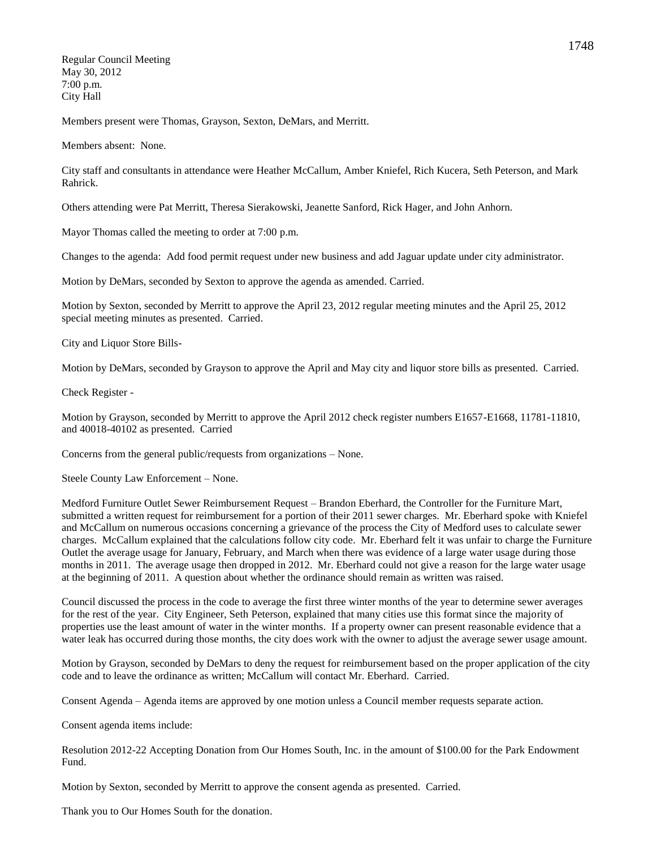Regular Council Meeting May 30, 2012 7:00 p.m. City Hall

Members present were Thomas, Grayson, Sexton, DeMars, and Merritt.

Members absent: None.

City staff and consultants in attendance were Heather McCallum, Amber Kniefel, Rich Kucera, Seth Peterson, and Mark Rahrick.

Others attending were Pat Merritt, Theresa Sierakowski, Jeanette Sanford, Rick Hager, and John Anhorn.

Mayor Thomas called the meeting to order at 7:00 p.m.

Changes to the agenda: Add food permit request under new business and add Jaguar update under city administrator.

Motion by DeMars, seconded by Sexton to approve the agenda as amended. Carried.

Motion by Sexton, seconded by Merritt to approve the April 23, 2012 regular meeting minutes and the April 25, 2012 special meeting minutes as presented. Carried.

City and Liquor Store Bills-

Motion by DeMars, seconded by Grayson to approve the April and May city and liquor store bills as presented. Carried.

Check Register -

Motion by Grayson, seconded by Merritt to approve the April 2012 check register numbers E1657-E1668, 11781-11810, and 40018-40102 as presented. Carried

Concerns from the general public/requests from organizations – None.

Steele County Law Enforcement – None.

Medford Furniture Outlet Sewer Reimbursement Request – Brandon Eberhard, the Controller for the Furniture Mart, submitted a written request for reimbursement for a portion of their 2011 sewer charges. Mr. Eberhard spoke with Kniefel and McCallum on numerous occasions concerning a grievance of the process the City of Medford uses to calculate sewer charges. McCallum explained that the calculations follow city code. Mr. Eberhard felt it was unfair to charge the Furniture Outlet the average usage for January, February, and March when there was evidence of a large water usage during those months in 2011. The average usage then dropped in 2012. Mr. Eberhard could not give a reason for the large water usage at the beginning of 2011. A question about whether the ordinance should remain as written was raised.

Council discussed the process in the code to average the first three winter months of the year to determine sewer averages for the rest of the year. City Engineer, Seth Peterson, explained that many cities use this format since the majority of properties use the least amount of water in the winter months. If a property owner can present reasonable evidence that a water leak has occurred during those months, the city does work with the owner to adjust the average sewer usage amount.

Motion by Grayson, seconded by DeMars to deny the request for reimbursement based on the proper application of the city code and to leave the ordinance as written; McCallum will contact Mr. Eberhard. Carried.

Consent Agenda – Agenda items are approved by one motion unless a Council member requests separate action.

Consent agenda items include:

Resolution 2012-22 Accepting Donation from Our Homes South, Inc. in the amount of \$100.00 for the Park Endowment Fund.

Motion by Sexton, seconded by Merritt to approve the consent agenda as presented. Carried.

Thank you to Our Homes South for the donation.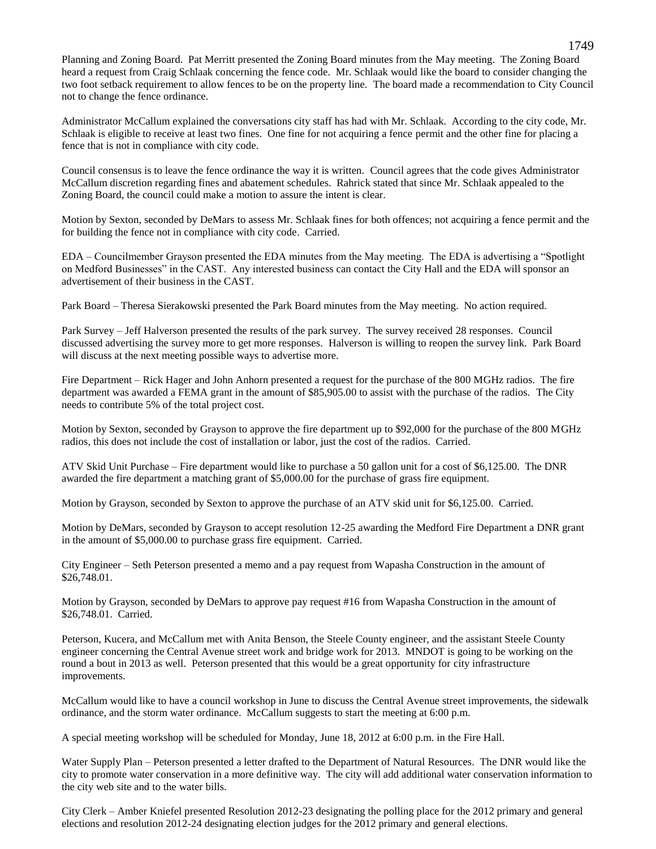Planning and Zoning Board. Pat Merritt presented the Zoning Board minutes from the May meeting. The Zoning Board heard a request from Craig Schlaak concerning the fence code. Mr. Schlaak would like the board to consider changing the two foot setback requirement to allow fences to be on the property line. The board made a recommendation to City Council not to change the fence ordinance.

Administrator McCallum explained the conversations city staff has had with Mr. Schlaak. According to the city code, Mr. Schlaak is eligible to receive at least two fines. One fine for not acquiring a fence permit and the other fine for placing a fence that is not in compliance with city code.

Council consensus is to leave the fence ordinance the way it is written. Council agrees that the code gives Administrator McCallum discretion regarding fines and abatement schedules. Rahrick stated that since Mr. Schlaak appealed to the Zoning Board, the council could make a motion to assure the intent is clear.

Motion by Sexton, seconded by DeMars to assess Mr. Schlaak fines for both offences; not acquiring a fence permit and the for building the fence not in compliance with city code. Carried.

EDA – Councilmember Grayson presented the EDA minutes from the May meeting. The EDA is advertising a "Spotlight on Medford Businesses" in the CAST. Any interested business can contact the City Hall and the EDA will sponsor an advertisement of their business in the CAST.

Park Board – Theresa Sierakowski presented the Park Board minutes from the May meeting. No action required.

Park Survey – Jeff Halverson presented the results of the park survey. The survey received 28 responses. Council discussed advertising the survey more to get more responses. Halverson is willing to reopen the survey link. Park Board will discuss at the next meeting possible ways to advertise more.

Fire Department – Rick Hager and John Anhorn presented a request for the purchase of the 800 MGHz radios. The fire department was awarded a FEMA grant in the amount of \$85,905.00 to assist with the purchase of the radios. The City needs to contribute 5% of the total project cost.

Motion by Sexton, seconded by Grayson to approve the fire department up to \$92,000 for the purchase of the 800 MGHz radios, this does not include the cost of installation or labor, just the cost of the radios. Carried.

ATV Skid Unit Purchase – Fire department would like to purchase a 50 gallon unit for a cost of \$6,125.00. The DNR awarded the fire department a matching grant of \$5,000.00 for the purchase of grass fire equipment.

Motion by Grayson, seconded by Sexton to approve the purchase of an ATV skid unit for \$6,125.00. Carried.

Motion by DeMars, seconded by Grayson to accept resolution 12-25 awarding the Medford Fire Department a DNR grant in the amount of \$5,000.00 to purchase grass fire equipment. Carried.

City Engineer – Seth Peterson presented a memo and a pay request from Wapasha Construction in the amount of \$26,748.01.

Motion by Grayson, seconded by DeMars to approve pay request #16 from Wapasha Construction in the amount of \$26,748.01. Carried.

Peterson, Kucera, and McCallum met with Anita Benson, the Steele County engineer, and the assistant Steele County engineer concerning the Central Avenue street work and bridge work for 2013. MNDOT is going to be working on the round a bout in 2013 as well. Peterson presented that this would be a great opportunity for city infrastructure improvements.

McCallum would like to have a council workshop in June to discuss the Central Avenue street improvements, the sidewalk ordinance, and the storm water ordinance. McCallum suggests to start the meeting at 6:00 p.m.

A special meeting workshop will be scheduled for Monday, June 18, 2012 at 6:00 p.m. in the Fire Hall.

Water Supply Plan – Peterson presented a letter drafted to the Department of Natural Resources. The DNR would like the city to promote water conservation in a more definitive way. The city will add additional water conservation information to the city web site and to the water bills.

City Clerk – Amber Kniefel presented Resolution 2012-23 designating the polling place for the 2012 primary and general elections and resolution 2012-24 designating election judges for the 2012 primary and general elections.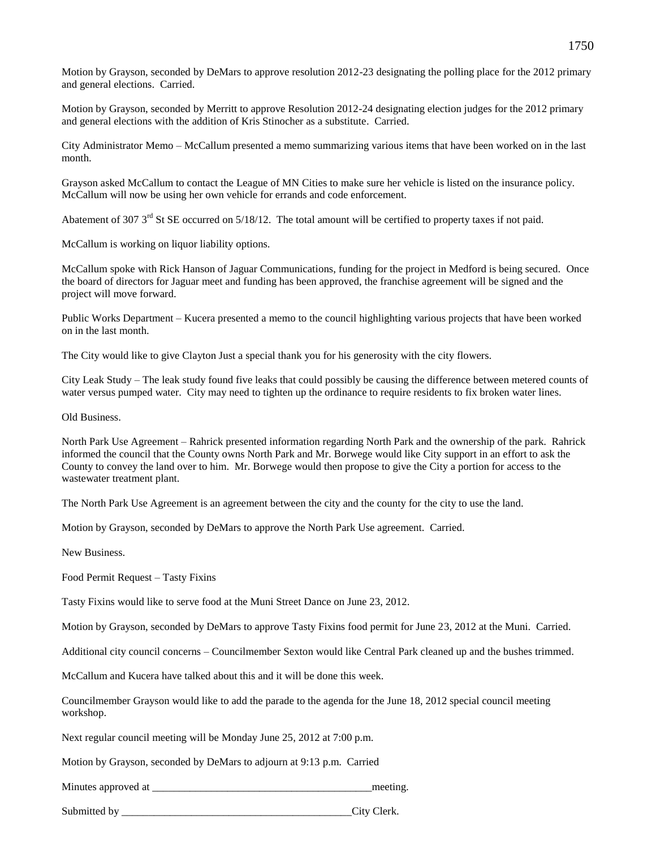Motion by Grayson, seconded by DeMars to approve resolution 2012-23 designating the polling place for the 2012 primary and general elections. Carried.

Motion by Grayson, seconded by Merritt to approve Resolution 2012-24 designating election judges for the 2012 primary and general elections with the addition of Kris Stinocher as a substitute. Carried.

City Administrator Memo – McCallum presented a memo summarizing various items that have been worked on in the last month.

Grayson asked McCallum to contact the League of MN Cities to make sure her vehicle is listed on the insurance policy. McCallum will now be using her own vehicle for errands and code enforcement.

Abatement of 307  $3<sup>rd</sup>$  St SE occurred on 5/18/12. The total amount will be certified to property taxes if not paid.

McCallum is working on liquor liability options.

McCallum spoke with Rick Hanson of Jaguar Communications, funding for the project in Medford is being secured. Once the board of directors for Jaguar meet and funding has been approved, the franchise agreement will be signed and the project will move forward.

Public Works Department – Kucera presented a memo to the council highlighting various projects that have been worked on in the last month.

The City would like to give Clayton Just a special thank you for his generosity with the city flowers.

City Leak Study – The leak study found five leaks that could possibly be causing the difference between metered counts of water versus pumped water. City may need to tighten up the ordinance to require residents to fix broken water lines.

Old Business.

North Park Use Agreement – Rahrick presented information regarding North Park and the ownership of the park. Rahrick informed the council that the County owns North Park and Mr. Borwege would like City support in an effort to ask the County to convey the land over to him. Mr. Borwege would then propose to give the City a portion for access to the wastewater treatment plant.

The North Park Use Agreement is an agreement between the city and the county for the city to use the land.

Motion by Grayson, seconded by DeMars to approve the North Park Use agreement. Carried.

New Business.

Food Permit Request – Tasty Fixins

Tasty Fixins would like to serve food at the Muni Street Dance on June 23, 2012.

Motion by Grayson, seconded by DeMars to approve Tasty Fixins food permit for June 23, 2012 at the Muni. Carried.

Additional city council concerns – Councilmember Sexton would like Central Park cleaned up and the bushes trimmed.

McCallum and Kucera have talked about this and it will be done this week.

Councilmember Grayson would like to add the parade to the agenda for the June 18, 2012 special council meeting workshop.

Next regular council meeting will be Monday June 25, 2012 at 7:00 p.m.

Motion by Grayson, seconded by DeMars to adjourn at 9:13 p.m. Carried

Minutes approved at  $\blacksquare$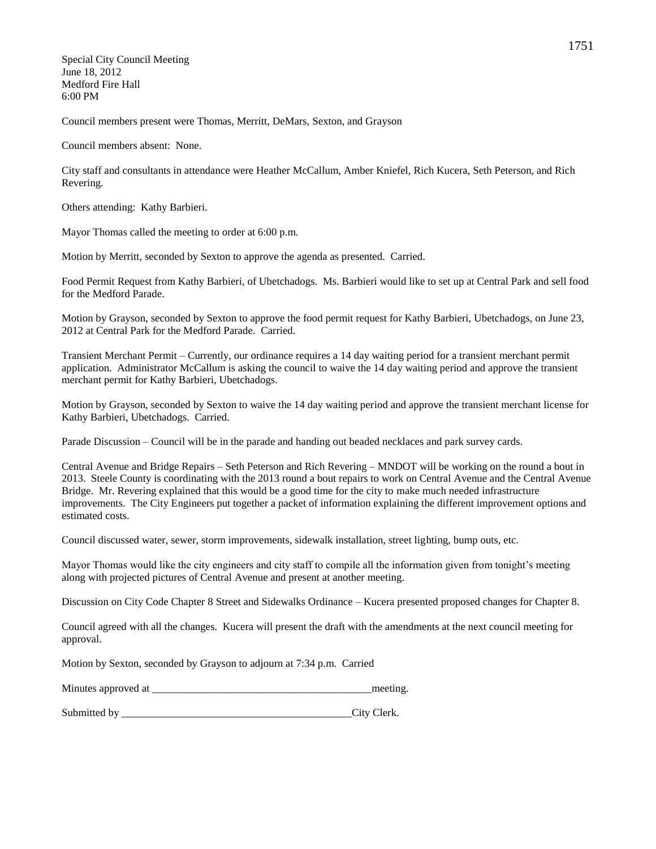Special City Council Meeting June 18, 2012 Medford Fire Hall 6:00 PM

Council members present were Thomas, Merritt, DeMars, Sexton, and Grayson

Council members absent: None.

City staff and consultants in attendance were Heather McCallum, Amber Kniefel, Rich Kucera, Seth Peterson, and Rich Revering.

Others attending: Kathy Barbieri.

Mayor Thomas called the meeting to order at 6:00 p.m.

Motion by Merritt, seconded by Sexton to approve the agenda as presented. Carried.

Food Permit Request from Kathy Barbieri, of Ubetchadogs. Ms. Barbieri would like to set up at Central Park and sell food for the Medford Parade.

Motion by Grayson, seconded by Sexton to approve the food permit request for Kathy Barbieri, Ubetchadogs, on June 23, 2012 at Central Park for the Medford Parade. Carried.

Transient Merchant Permit – Currently, our ordinance requires a 14 day waiting period for a transient merchant permit application. Administrator McCallum is asking the council to waive the 14 day waiting period and approve the transient merchant permit for Kathy Barbieri, Ubetchadogs.

Motion by Grayson, seconded by Sexton to waive the 14 day waiting period and approve the transient merchant license for Kathy Barbieri, Ubetchadogs. Carried.

Parade Discussion – Council will be in the parade and handing out beaded necklaces and park survey cards.

Central Avenue and Bridge Repairs – Seth Peterson and Rich Revering – MNDOT will be working on the round a bout in 2013. Steele County is coordinating with the 2013 round a bout repairs to work on Central Avenue and the Central Avenue Bridge. Mr. Revering explained that this would be a good time for the city to make much needed infrastructure improvements. The City Engineers put together a packet of information explaining the different improvement options and estimated costs.

Council discussed water, sewer, storm improvements, sidewalk installation, street lighting, bump outs, etc.

Mayor Thomas would like the city engineers and city staff to compile all the information given from tonight's meeting along with projected pictures of Central Avenue and present at another meeting.

Discussion on City Code Chapter 8 Street and Sidewalks Ordinance – Kucera presented proposed changes for Chapter 8.

Council agreed with all the changes. Kucera will present the draft with the amendments at the next council meeting for approval.

Motion by Sexton, seconded by Grayson to adjourn at 7:34 p.m. Carried

| Minutes approved at | meeting. |
|---------------------|----------|
|                     |          |

Submitted by City Clerk.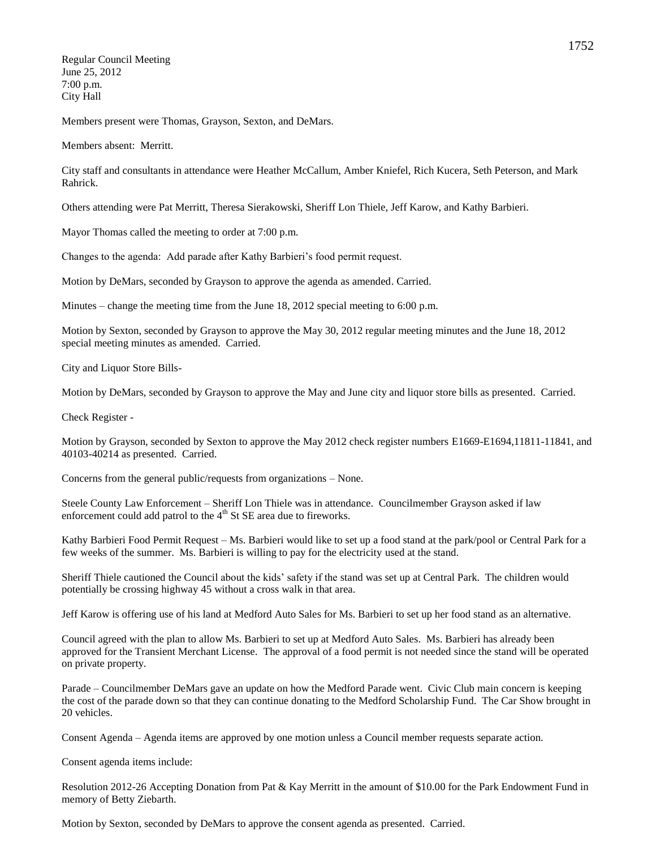Regular Council Meeting June 25, 2012 7:00 p.m. City Hall

Members present were Thomas, Grayson, Sexton, and DeMars.

Members absent: Merritt.

City staff and consultants in attendance were Heather McCallum, Amber Kniefel, Rich Kucera, Seth Peterson, and Mark Rahrick.

Others attending were Pat Merritt, Theresa Sierakowski, Sheriff Lon Thiele, Jeff Karow, and Kathy Barbieri.

Mayor Thomas called the meeting to order at 7:00 p.m.

Changes to the agenda: Add parade after Kathy Barbieri's food permit request.

Motion by DeMars, seconded by Grayson to approve the agenda as amended. Carried.

Minutes – change the meeting time from the June 18, 2012 special meeting to 6:00 p.m.

Motion by Sexton, seconded by Grayson to approve the May 30, 2012 regular meeting minutes and the June 18, 2012 special meeting minutes as amended. Carried.

City and Liquor Store Bills-

Motion by DeMars, seconded by Grayson to approve the May and June city and liquor store bills as presented. Carried.

Check Register -

Motion by Grayson, seconded by Sexton to approve the May 2012 check register numbers E1669-E1694,11811-11841, and 40103-40214 as presented. Carried.

Concerns from the general public/requests from organizations – None.

Steele County Law Enforcement – Sheriff Lon Thiele was in attendance. Councilmember Grayson asked if law enforcement could add patrol to the  $4<sup>th</sup>$  St SE area due to fireworks.

Kathy Barbieri Food Permit Request – Ms. Barbieri would like to set up a food stand at the park/pool or Central Park for a few weeks of the summer. Ms. Barbieri is willing to pay for the electricity used at the stand.

Sheriff Thiele cautioned the Council about the kids' safety if the stand was set up at Central Park. The children would potentially be crossing highway 45 without a cross walk in that area.

Jeff Karow is offering use of his land at Medford Auto Sales for Ms. Barbieri to set up her food stand as an alternative.

Council agreed with the plan to allow Ms. Barbieri to set up at Medford Auto Sales. Ms. Barbieri has already been approved for the Transient Merchant License. The approval of a food permit is not needed since the stand will be operated on private property.

Parade – Councilmember DeMars gave an update on how the Medford Parade went. Civic Club main concern is keeping the cost of the parade down so that they can continue donating to the Medford Scholarship Fund. The Car Show brought in 20 vehicles.

Consent Agenda – Agenda items are approved by one motion unless a Council member requests separate action.

Consent agenda items include:

Resolution 2012-26 Accepting Donation from Pat & Kay Merritt in the amount of \$10.00 for the Park Endowment Fund in memory of Betty Ziebarth.

Motion by Sexton, seconded by DeMars to approve the consent agenda as presented. Carried.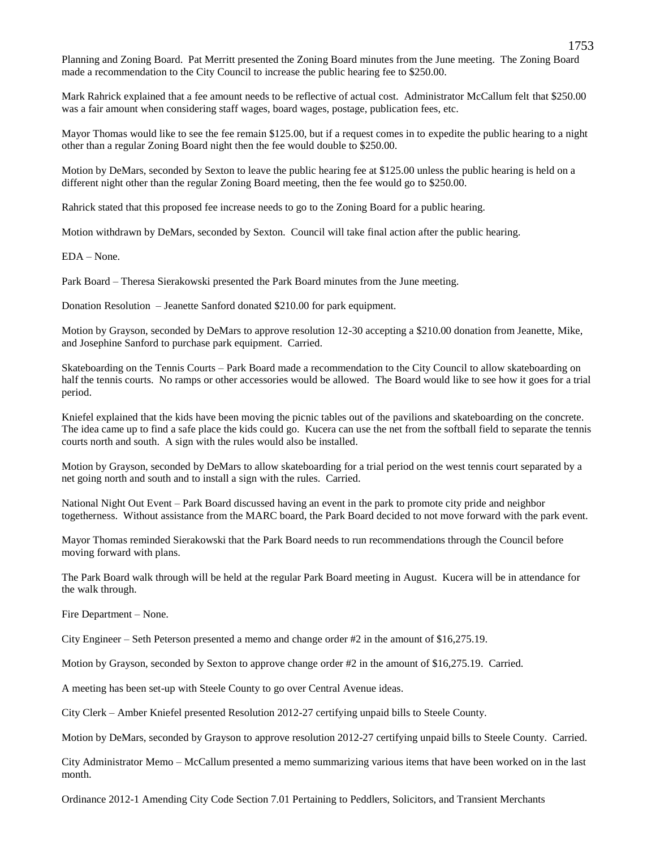Planning and Zoning Board. Pat Merritt presented the Zoning Board minutes from the June meeting. The Zoning Board made a recommendation to the City Council to increase the public hearing fee to \$250.00.

Mark Rahrick explained that a fee amount needs to be reflective of actual cost. Administrator McCallum felt that \$250.00 was a fair amount when considering staff wages, board wages, postage, publication fees, etc.

Mayor Thomas would like to see the fee remain \$125.00, but if a request comes in to expedite the public hearing to a night other than a regular Zoning Board night then the fee would double to \$250.00.

Motion by DeMars, seconded by Sexton to leave the public hearing fee at \$125.00 unless the public hearing is held on a different night other than the regular Zoning Board meeting, then the fee would go to \$250.00.

Rahrick stated that this proposed fee increase needs to go to the Zoning Board for a public hearing.

Motion withdrawn by DeMars, seconded by Sexton. Council will take final action after the public hearing.

EDA – None.

Park Board – Theresa Sierakowski presented the Park Board minutes from the June meeting.

Donation Resolution – Jeanette Sanford donated \$210.00 for park equipment.

Motion by Grayson, seconded by DeMars to approve resolution 12-30 accepting a \$210.00 donation from Jeanette, Mike, and Josephine Sanford to purchase park equipment. Carried.

Skateboarding on the Tennis Courts – Park Board made a recommendation to the City Council to allow skateboarding on half the tennis courts. No ramps or other accessories would be allowed. The Board would like to see how it goes for a trial period.

Kniefel explained that the kids have been moving the picnic tables out of the pavilions and skateboarding on the concrete. The idea came up to find a safe place the kids could go. Kucera can use the net from the softball field to separate the tennis courts north and south. A sign with the rules would also be installed.

Motion by Grayson, seconded by DeMars to allow skateboarding for a trial period on the west tennis court separated by a net going north and south and to install a sign with the rules. Carried.

National Night Out Event – Park Board discussed having an event in the park to promote city pride and neighbor togetherness. Without assistance from the MARC board, the Park Board decided to not move forward with the park event.

Mayor Thomas reminded Sierakowski that the Park Board needs to run recommendations through the Council before moving forward with plans.

The Park Board walk through will be held at the regular Park Board meeting in August. Kucera will be in attendance for the walk through.

Fire Department – None.

City Engineer – Seth Peterson presented a memo and change order #2 in the amount of \$16,275.19.

Motion by Grayson, seconded by Sexton to approve change order #2 in the amount of \$16,275.19. Carried.

A meeting has been set-up with Steele County to go over Central Avenue ideas.

City Clerk – Amber Kniefel presented Resolution 2012-27 certifying unpaid bills to Steele County.

Motion by DeMars, seconded by Grayson to approve resolution 2012-27 certifying unpaid bills to Steele County. Carried.

City Administrator Memo – McCallum presented a memo summarizing various items that have been worked on in the last month.

Ordinance 2012-1 Amending City Code Section 7.01 Pertaining to Peddlers, Solicitors, and Transient Merchants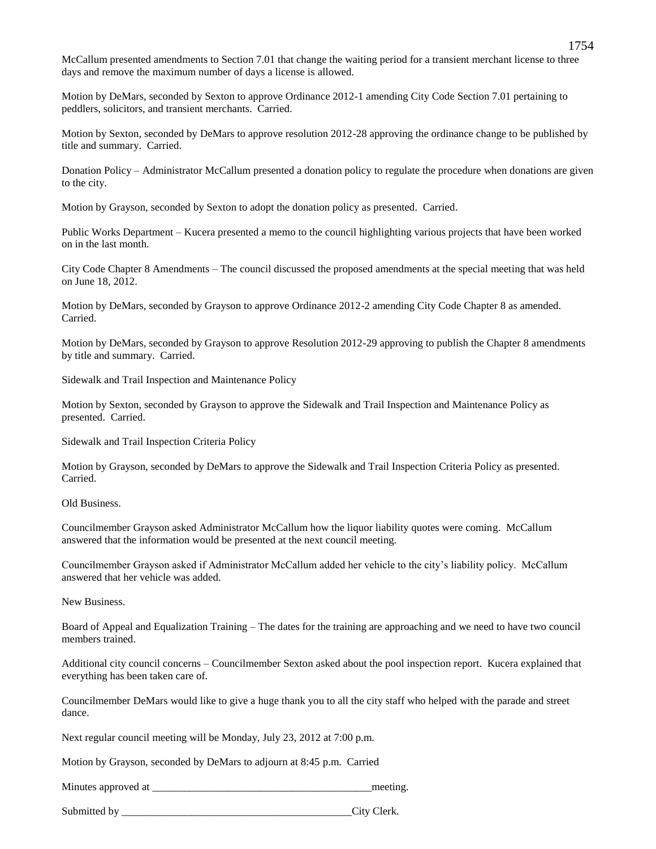McCallum presented amendments to Section 7.01 that change the waiting period for a transient merchant license to three days and remove the maximum number of days a license is allowed.

Motion by DeMars, seconded by Sexton to approve Ordinance 2012-1 amending City Code Section 7.01 pertaining to peddlers, solicitors, and transient merchants. Carried.

Motion by Sexton, seconded by DeMars to approve resolution 2012-28 approving the ordinance change to be published by title and summary. Carried.

Donation Policy – Administrator McCallum presented a donation policy to regulate the procedure when donations are given to the city.

Motion by Grayson, seconded by Sexton to adopt the donation policy as presented. Carried.

Public Works Department – Kucera presented a memo to the council highlighting various projects that have been worked on in the last month.

City Code Chapter 8 Amendments – The council discussed the proposed amendments at the special meeting that was held on June 18, 2012.

Motion by DeMars, seconded by Grayson to approve Ordinance 2012-2 amending City Code Chapter 8 as amended. Carried.

Motion by DeMars, seconded by Grayson to approve Resolution 2012-29 approving to publish the Chapter 8 amendments by title and summary. Carried.

Sidewalk and Trail Inspection and Maintenance Policy

Motion by Sexton, seconded by Grayson to approve the Sidewalk and Trail Inspection and Maintenance Policy as presented. Carried.

Sidewalk and Trail Inspection Criteria Policy

Motion by Grayson, seconded by DeMars to approve the Sidewalk and Trail Inspection Criteria Policy as presented. Carried.

Old Business.

Councilmember Grayson asked Administrator McCallum how the liquor liability quotes were coming. McCallum answered that the information would be presented at the next council meeting.

Councilmember Grayson asked if Administrator McCallum added her vehicle to the city's liability policy. McCallum answered that her vehicle was added.

New Business.

Board of Appeal and Equalization Training – The dates for the training are approaching and we need to have two council members trained.

Additional city council concerns – Councilmember Sexton asked about the pool inspection report. Kucera explained that everything has been taken care of.

Councilmember DeMars would like to give a huge thank you to all the city staff who helped with the parade and street dance.

Next regular council meeting will be Monday, July 23, 2012 at 7:00 p.m.

Motion by Grayson, seconded by DeMars to adjourn at 8:45 p.m. Carried

Minutes approved at  $\blacksquare$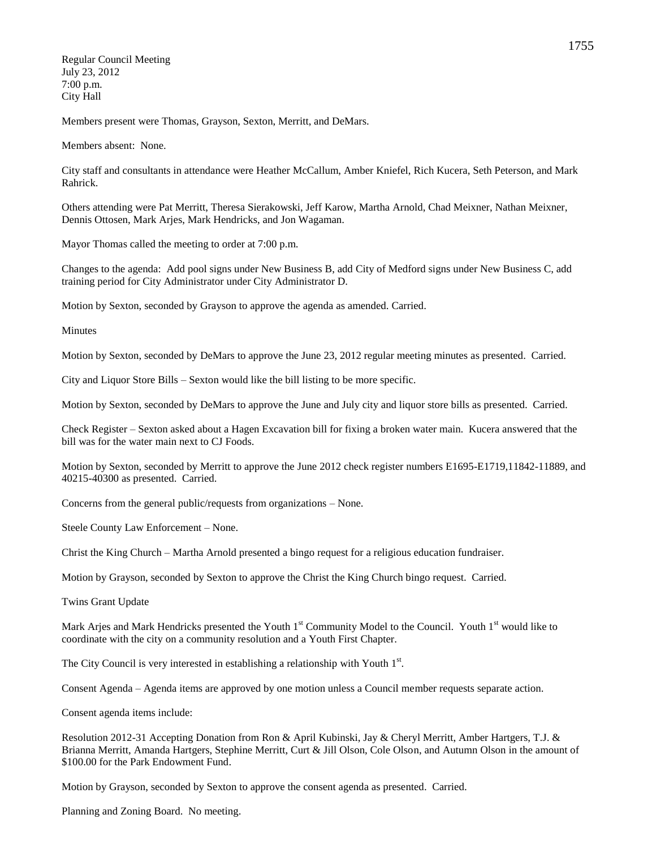Regular Council Meeting July 23, 2012 7:00 p.m. City Hall

Members present were Thomas, Grayson, Sexton, Merritt, and DeMars.

Members absent: None.

City staff and consultants in attendance were Heather McCallum, Amber Kniefel, Rich Kucera, Seth Peterson, and Mark Rahrick.

Others attending were Pat Merritt, Theresa Sierakowski, Jeff Karow, Martha Arnold, Chad Meixner, Nathan Meixner, Dennis Ottosen, Mark Arjes, Mark Hendricks, and Jon Wagaman.

Mayor Thomas called the meeting to order at 7:00 p.m.

Changes to the agenda: Add pool signs under New Business B, add City of Medford signs under New Business C, add training period for City Administrator under City Administrator D.

Motion by Sexton, seconded by Grayson to approve the agenda as amended. Carried.

Minutes

Motion by Sexton, seconded by DeMars to approve the June 23, 2012 regular meeting minutes as presented. Carried.

City and Liquor Store Bills – Sexton would like the bill listing to be more specific.

Motion by Sexton, seconded by DeMars to approve the June and July city and liquor store bills as presented. Carried.

Check Register – Sexton asked about a Hagen Excavation bill for fixing a broken water main. Kucera answered that the bill was for the water main next to CJ Foods.

Motion by Sexton, seconded by Merritt to approve the June 2012 check register numbers E1695-E1719,11842-11889, and 40215-40300 as presented. Carried.

Concerns from the general public/requests from organizations – None.

Steele County Law Enforcement – None.

Christ the King Church – Martha Arnold presented a bingo request for a religious education fundraiser.

Motion by Grayson, seconded by Sexton to approve the Christ the King Church bingo request. Carried.

Twins Grant Update

Mark Arjes and Mark Hendricks presented the Youth  $1<sup>st</sup>$  Community Model to the Council. Youth  $1<sup>st</sup>$  would like to coordinate with the city on a community resolution and a Youth First Chapter.

The City Council is very interested in establishing a relationship with Youth 1<sup>st</sup>.

Consent Agenda – Agenda items are approved by one motion unless a Council member requests separate action.

Consent agenda items include:

Resolution 2012-31 Accepting Donation from Ron & April Kubinski, Jay & Cheryl Merritt, Amber Hartgers, T.J. & Brianna Merritt, Amanda Hartgers, Stephine Merritt, Curt & Jill Olson, Cole Olson, and Autumn Olson in the amount of \$100.00 for the Park Endowment Fund.

Motion by Grayson, seconded by Sexton to approve the consent agenda as presented. Carried.

Planning and Zoning Board. No meeting.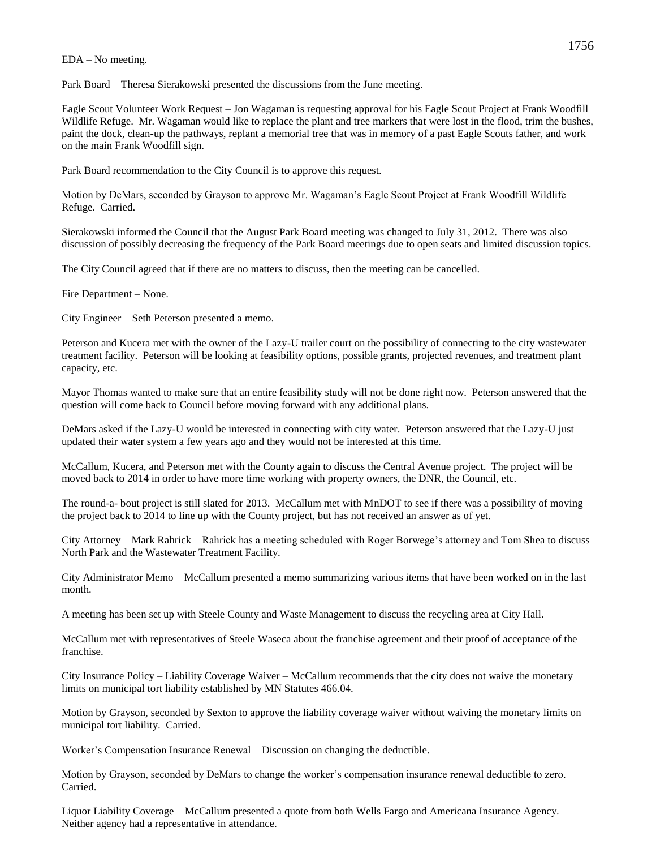## EDA – No meeting.

Park Board – Theresa Sierakowski presented the discussions from the June meeting.

Eagle Scout Volunteer Work Request – Jon Wagaman is requesting approval for his Eagle Scout Project at Frank Woodfill Wildlife Refuge. Mr. Wagaman would like to replace the plant and tree markers that were lost in the flood, trim the bushes, paint the dock, clean-up the pathways, replant a memorial tree that was in memory of a past Eagle Scouts father, and work on the main Frank Woodfill sign.

Park Board recommendation to the City Council is to approve this request.

Motion by DeMars, seconded by Grayson to approve Mr. Wagaman's Eagle Scout Project at Frank Woodfill Wildlife Refuge. Carried.

Sierakowski informed the Council that the August Park Board meeting was changed to July 31, 2012. There was also discussion of possibly decreasing the frequency of the Park Board meetings due to open seats and limited discussion topics.

The City Council agreed that if there are no matters to discuss, then the meeting can be cancelled.

Fire Department – None.

City Engineer – Seth Peterson presented a memo.

Peterson and Kucera met with the owner of the Lazy-U trailer court on the possibility of connecting to the city wastewater treatment facility. Peterson will be looking at feasibility options, possible grants, projected revenues, and treatment plant capacity, etc.

Mayor Thomas wanted to make sure that an entire feasibility study will not be done right now. Peterson answered that the question will come back to Council before moving forward with any additional plans.

DeMars asked if the Lazy-U would be interested in connecting with city water. Peterson answered that the Lazy-U just updated their water system a few years ago and they would not be interested at this time.

McCallum, Kucera, and Peterson met with the County again to discuss the Central Avenue project. The project will be moved back to 2014 in order to have more time working with property owners, the DNR, the Council, etc.

The round-a- bout project is still slated for 2013. McCallum met with MnDOT to see if there was a possibility of moving the project back to 2014 to line up with the County project, but has not received an answer as of yet.

City Attorney – Mark Rahrick – Rahrick has a meeting scheduled with Roger Borwege's attorney and Tom Shea to discuss North Park and the Wastewater Treatment Facility.

City Administrator Memo – McCallum presented a memo summarizing various items that have been worked on in the last month.

A meeting has been set up with Steele County and Waste Management to discuss the recycling area at City Hall.

McCallum met with representatives of Steele Waseca about the franchise agreement and their proof of acceptance of the franchise.

City Insurance Policy – Liability Coverage Waiver – McCallum recommends that the city does not waive the monetary limits on municipal tort liability established by MN Statutes 466.04.

Motion by Grayson, seconded by Sexton to approve the liability coverage waiver without waiving the monetary limits on municipal tort liability. Carried.

Worker's Compensation Insurance Renewal – Discussion on changing the deductible.

Motion by Grayson, seconded by DeMars to change the worker's compensation insurance renewal deductible to zero. Carried.

Liquor Liability Coverage – McCallum presented a quote from both Wells Fargo and Americana Insurance Agency. Neither agency had a representative in attendance.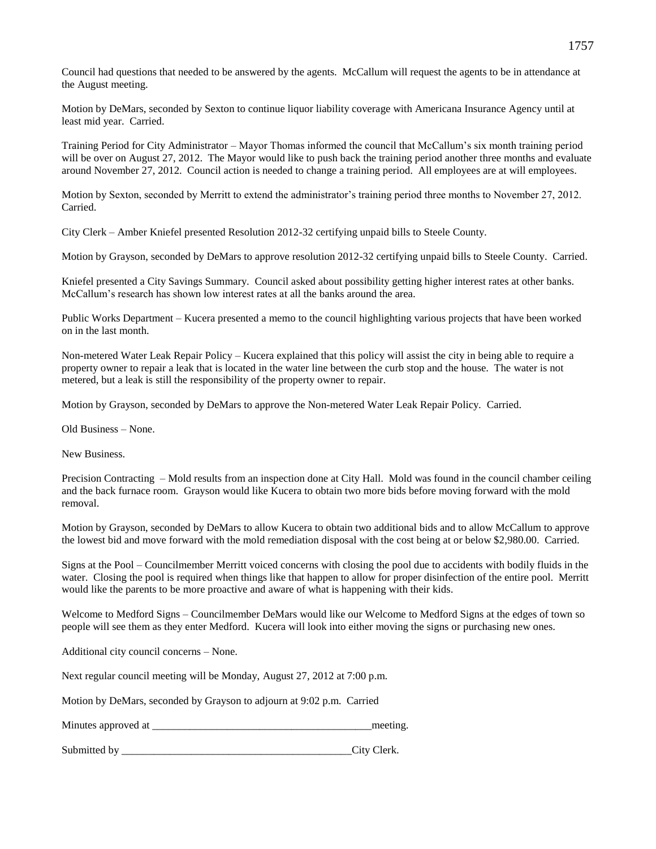Council had questions that needed to be answered by the agents. McCallum will request the agents to be in attendance at the August meeting.

Motion by DeMars, seconded by Sexton to continue liquor liability coverage with Americana Insurance Agency until at least mid year. Carried.

Training Period for City Administrator – Mayor Thomas informed the council that McCallum's six month training period will be over on August 27, 2012. The Mayor would like to push back the training period another three months and evaluate around November 27, 2012. Council action is needed to change a training period. All employees are at will employees.

Motion by Sexton, seconded by Merritt to extend the administrator's training period three months to November 27, 2012. Carried.

City Clerk – Amber Kniefel presented Resolution 2012-32 certifying unpaid bills to Steele County.

Motion by Grayson, seconded by DeMars to approve resolution 2012-32 certifying unpaid bills to Steele County. Carried.

Kniefel presented a City Savings Summary. Council asked about possibility getting higher interest rates at other banks. McCallum's research has shown low interest rates at all the banks around the area.

Public Works Department – Kucera presented a memo to the council highlighting various projects that have been worked on in the last month.

Non-metered Water Leak Repair Policy – Kucera explained that this policy will assist the city in being able to require a property owner to repair a leak that is located in the water line between the curb stop and the house. The water is not metered, but a leak is still the responsibility of the property owner to repair.

Motion by Grayson, seconded by DeMars to approve the Non-metered Water Leak Repair Policy. Carried.

Old Business – None.

New Business.

Precision Contracting – Mold results from an inspection done at City Hall. Mold was found in the council chamber ceiling and the back furnace room. Grayson would like Kucera to obtain two more bids before moving forward with the mold removal.

Motion by Grayson, seconded by DeMars to allow Kucera to obtain two additional bids and to allow McCallum to approve the lowest bid and move forward with the mold remediation disposal with the cost being at or below \$2,980.00. Carried.

Signs at the Pool – Councilmember Merritt voiced concerns with closing the pool due to accidents with bodily fluids in the water. Closing the pool is required when things like that happen to allow for proper disinfection of the entire pool. Merritt would like the parents to be more proactive and aware of what is happening with their kids.

Welcome to Medford Signs – Councilmember DeMars would like our Welcome to Medford Signs at the edges of town so people will see them as they enter Medford. Kucera will look into either moving the signs or purchasing new ones.

Additional city council concerns – None.

Next regular council meeting will be Monday, August 27, 2012 at 7:00 p.m.

Motion by DeMars, seconded by Grayson to adjourn at 9:02 p.m. Carried

Minutes approved at \_\_\_\_\_\_\_\_\_\_\_\_\_\_\_\_\_\_\_\_\_\_\_\_\_\_\_\_\_\_\_\_\_\_\_\_\_\_\_\_\_meeting.

Submitted by City Clerk.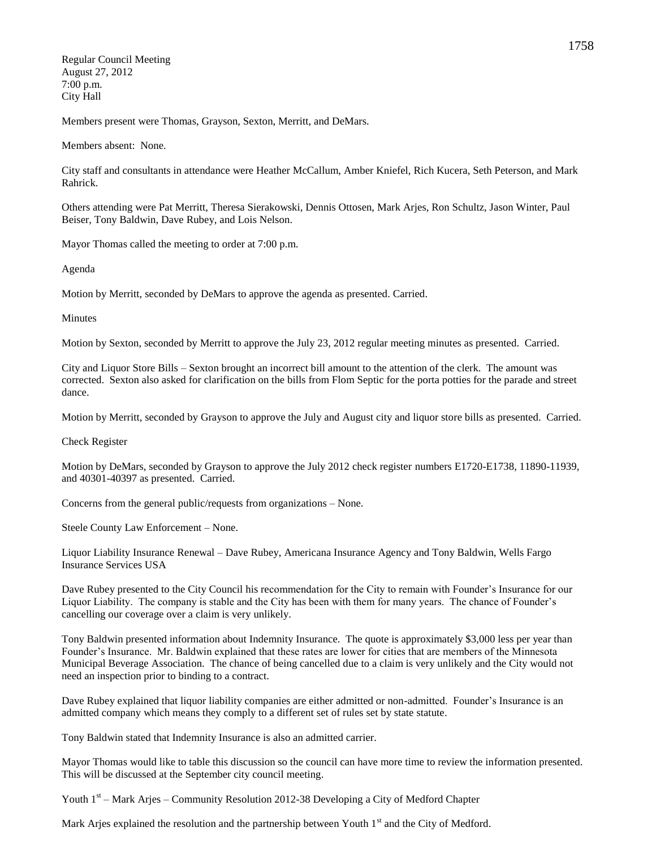Regular Council Meeting August 27, 2012 7:00 p.m. City Hall

Members present were Thomas, Grayson, Sexton, Merritt, and DeMars.

Members absent: None.

City staff and consultants in attendance were Heather McCallum, Amber Kniefel, Rich Kucera, Seth Peterson, and Mark Rahrick.

Others attending were Pat Merritt, Theresa Sierakowski, Dennis Ottosen, Mark Arjes, Ron Schultz, Jason Winter, Paul Beiser, Tony Baldwin, Dave Rubey, and Lois Nelson.

Mayor Thomas called the meeting to order at 7:00 p.m.

Agenda

Motion by Merritt, seconded by DeMars to approve the agenda as presented. Carried.

Minutes

Motion by Sexton, seconded by Merritt to approve the July 23, 2012 regular meeting minutes as presented. Carried.

City and Liquor Store Bills – Sexton brought an incorrect bill amount to the attention of the clerk. The amount was corrected. Sexton also asked for clarification on the bills from Flom Septic for the porta potties for the parade and street dance.

Motion by Merritt, seconded by Grayson to approve the July and August city and liquor store bills as presented. Carried.

Check Register

Motion by DeMars, seconded by Grayson to approve the July 2012 check register numbers E1720-E1738, 11890-11939, and 40301-40397 as presented. Carried.

Concerns from the general public/requests from organizations – None.

Steele County Law Enforcement – None.

Liquor Liability Insurance Renewal – Dave Rubey, Americana Insurance Agency and Tony Baldwin, Wells Fargo Insurance Services USA

Dave Rubey presented to the City Council his recommendation for the City to remain with Founder's Insurance for our Liquor Liability. The company is stable and the City has been with them for many years. The chance of Founder's cancelling our coverage over a claim is very unlikely.

Tony Baldwin presented information about Indemnity Insurance. The quote is approximately \$3,000 less per year than Founder's Insurance. Mr. Baldwin explained that these rates are lower for cities that are members of the Minnesota Municipal Beverage Association. The chance of being cancelled due to a claim is very unlikely and the City would not need an inspection prior to binding to a contract.

Dave Rubey explained that liquor liability companies are either admitted or non-admitted. Founder's Insurance is an admitted company which means they comply to a different set of rules set by state statute.

Tony Baldwin stated that Indemnity Insurance is also an admitted carrier.

Mayor Thomas would like to table this discussion so the council can have more time to review the information presented. This will be discussed at the September city council meeting.

Youth 1<sup>st</sup> – Mark Arjes – Community Resolution 2012-38 Developing a City of Medford Chapter

Mark Arjes explained the resolution and the partnership between Youth  $1<sup>st</sup>$  and the City of Medford.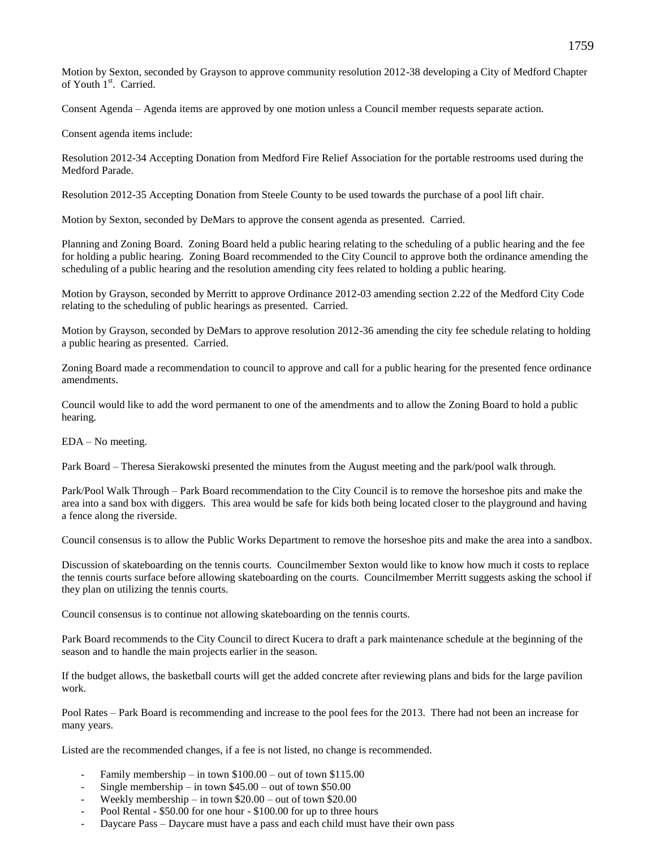Motion by Sexton, seconded by Grayson to approve community resolution 2012-38 developing a City of Medford Chapter of Youth 1<sup>st</sup>. Carried.

Consent Agenda – Agenda items are approved by one motion unless a Council member requests separate action.

Consent agenda items include:

Resolution 2012-34 Accepting Donation from Medford Fire Relief Association for the portable restrooms used during the Medford Parade.

Resolution 2012-35 Accepting Donation from Steele County to be used towards the purchase of a pool lift chair.

Motion by Sexton, seconded by DeMars to approve the consent agenda as presented. Carried.

Planning and Zoning Board. Zoning Board held a public hearing relating to the scheduling of a public hearing and the fee for holding a public hearing. Zoning Board recommended to the City Council to approve both the ordinance amending the scheduling of a public hearing and the resolution amending city fees related to holding a public hearing.

Motion by Grayson, seconded by Merritt to approve Ordinance 2012-03 amending section 2.22 of the Medford City Code relating to the scheduling of public hearings as presented. Carried.

Motion by Grayson, seconded by DeMars to approve resolution 2012-36 amending the city fee schedule relating to holding a public hearing as presented. Carried.

Zoning Board made a recommendation to council to approve and call for a public hearing for the presented fence ordinance amendments.

Council would like to add the word permanent to one of the amendments and to allow the Zoning Board to hold a public hearing.

EDA – No meeting.

Park Board – Theresa Sierakowski presented the minutes from the August meeting and the park/pool walk through.

Park/Pool Walk Through – Park Board recommendation to the City Council is to remove the horseshoe pits and make the area into a sand box with diggers. This area would be safe for kids both being located closer to the playground and having a fence along the riverside.

Council consensus is to allow the Public Works Department to remove the horseshoe pits and make the area into a sandbox.

Discussion of skateboarding on the tennis courts. Councilmember Sexton would like to know how much it costs to replace the tennis courts surface before allowing skateboarding on the courts. Councilmember Merritt suggests asking the school if they plan on utilizing the tennis courts.

Council consensus is to continue not allowing skateboarding on the tennis courts.

Park Board recommends to the City Council to direct Kucera to draft a park maintenance schedule at the beginning of the season and to handle the main projects earlier in the season.

If the budget allows, the basketball courts will get the added concrete after reviewing plans and bids for the large pavilion work.

Pool Rates – Park Board is recommending and increase to the pool fees for the 2013. There had not been an increase for many years.

Listed are the recommended changes, if a fee is not listed, no change is recommended.

- Family membership in town \$100.00 out of town \$115.00
- Single membership in town  $$45.00$  out of town \$50.00
- Weekly membership in town \$20.00 out of town \$20.00
- Pool Rental \$50.00 for one hour \$100.00 for up to three hours
- Daycare Pass Daycare must have a pass and each child must have their own pass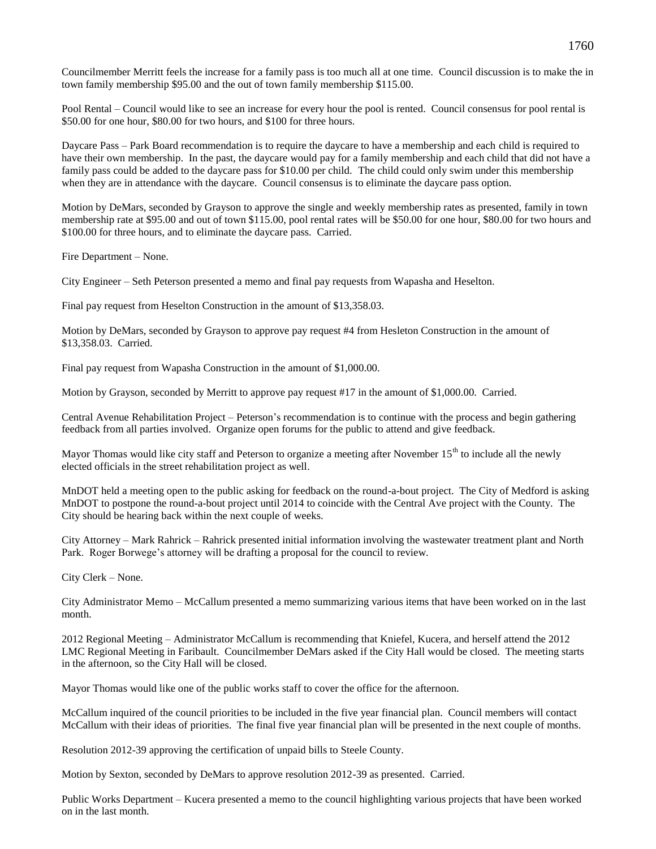Councilmember Merritt feels the increase for a family pass is too much all at one time. Council discussion is to make the in town family membership \$95.00 and the out of town family membership \$115.00.

Pool Rental – Council would like to see an increase for every hour the pool is rented. Council consensus for pool rental is \$50.00 for one hour, \$80.00 for two hours, and \$100 for three hours.

Daycare Pass – Park Board recommendation is to require the daycare to have a membership and each child is required to have their own membership. In the past, the daycare would pay for a family membership and each child that did not have a family pass could be added to the daycare pass for \$10.00 per child. The child could only swim under this membership when they are in attendance with the daycare. Council consensus is to eliminate the daycare pass option.

Motion by DeMars, seconded by Grayson to approve the single and weekly membership rates as presented, family in town membership rate at \$95.00 and out of town \$115.00, pool rental rates will be \$50.00 for one hour, \$80.00 for two hours and \$100.00 for three hours, and to eliminate the daycare pass. Carried.

Fire Department – None.

City Engineer – Seth Peterson presented a memo and final pay requests from Wapasha and Heselton.

Final pay request from Heselton Construction in the amount of \$13,358.03.

Motion by DeMars, seconded by Grayson to approve pay request #4 from Hesleton Construction in the amount of \$13,358.03. Carried.

Final pay request from Wapasha Construction in the amount of \$1,000.00.

Motion by Grayson, seconded by Merritt to approve pay request #17 in the amount of \$1,000.00. Carried.

Central Avenue Rehabilitation Project – Peterson's recommendation is to continue with the process and begin gathering feedback from all parties involved. Organize open forums for the public to attend and give feedback.

Mayor Thomas would like city staff and Peterson to organize a meeting after November  $15<sup>th</sup>$  to include all the newly elected officials in the street rehabilitation project as well.

MnDOT held a meeting open to the public asking for feedback on the round-a-bout project. The City of Medford is asking MnDOT to postpone the round-a-bout project until 2014 to coincide with the Central Ave project with the County. The City should be hearing back within the next couple of weeks.

City Attorney – Mark Rahrick – Rahrick presented initial information involving the wastewater treatment plant and North Park. Roger Borwege's attorney will be drafting a proposal for the council to review.

City Clerk – None.

City Administrator Memo – McCallum presented a memo summarizing various items that have been worked on in the last month.

2012 Regional Meeting – Administrator McCallum is recommending that Kniefel, Kucera, and herself attend the 2012 LMC Regional Meeting in Faribault. Councilmember DeMars asked if the City Hall would be closed. The meeting starts in the afternoon, so the City Hall will be closed.

Mayor Thomas would like one of the public works staff to cover the office for the afternoon.

McCallum inquired of the council priorities to be included in the five year financial plan. Council members will contact McCallum with their ideas of priorities. The final five year financial plan will be presented in the next couple of months.

Resolution 2012-39 approving the certification of unpaid bills to Steele County.

Motion by Sexton, seconded by DeMars to approve resolution 2012-39 as presented. Carried.

Public Works Department – Kucera presented a memo to the council highlighting various projects that have been worked on in the last month.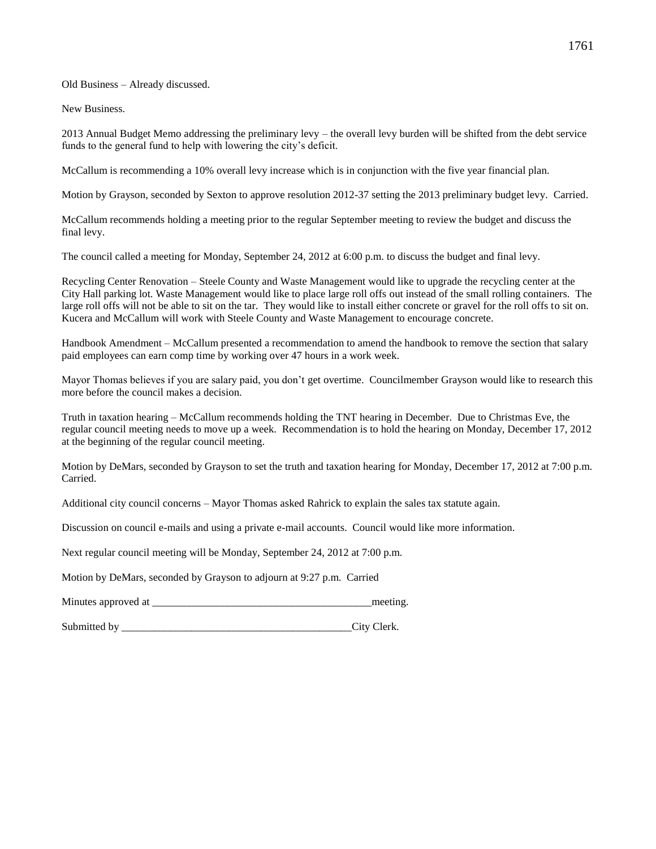Old Business – Already discussed.

New Business.

2013 Annual Budget Memo addressing the preliminary levy – the overall levy burden will be shifted from the debt service funds to the general fund to help with lowering the city's deficit.

McCallum is recommending a 10% overall levy increase which is in conjunction with the five year financial plan.

Motion by Grayson, seconded by Sexton to approve resolution 2012-37 setting the 2013 preliminary budget levy. Carried.

McCallum recommends holding a meeting prior to the regular September meeting to review the budget and discuss the final levy.

The council called a meeting for Monday, September 24, 2012 at 6:00 p.m. to discuss the budget and final levy.

Recycling Center Renovation – Steele County and Waste Management would like to upgrade the recycling center at the City Hall parking lot. Waste Management would like to place large roll offs out instead of the small rolling containers. The large roll offs will not be able to sit on the tar. They would like to install either concrete or gravel for the roll offs to sit on. Kucera and McCallum will work with Steele County and Waste Management to encourage concrete.

Handbook Amendment – McCallum presented a recommendation to amend the handbook to remove the section that salary paid employees can earn comp time by working over 47 hours in a work week.

Mayor Thomas believes if you are salary paid, you don't get overtime. Councilmember Grayson would like to research this more before the council makes a decision.

Truth in taxation hearing – McCallum recommends holding the TNT hearing in December. Due to Christmas Eve, the regular council meeting needs to move up a week. Recommendation is to hold the hearing on Monday, December 17, 2012 at the beginning of the regular council meeting.

Motion by DeMars, seconded by Grayson to set the truth and taxation hearing for Monday, December 17, 2012 at 7:00 p.m. Carried.

Additional city council concerns – Mayor Thomas asked Rahrick to explain the sales tax statute again.

Discussion on council e-mails and using a private e-mail accounts. Council would like more information.

Next regular council meeting will be Monday, September 24, 2012 at 7:00 p.m.

Motion by DeMars, seconded by Grayson to adjourn at 9:27 p.m. Carried

Minutes approved at \_\_\_\_\_\_\_\_\_\_\_\_\_\_\_\_\_\_\_\_\_\_\_\_\_\_\_\_\_\_\_\_\_\_\_\_\_\_\_\_\_meeting.

Submitted by City Clerk.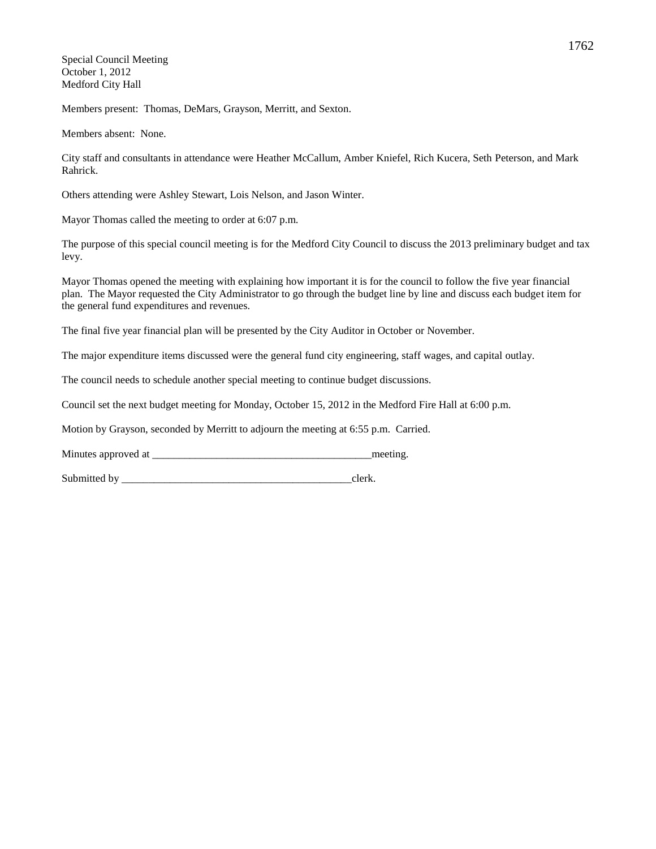Special Council Meeting October 1, 2012 Medford City Hall

Members present: Thomas, DeMars, Grayson, Merritt, and Sexton.

Members absent: None.

City staff and consultants in attendance were Heather McCallum, Amber Kniefel, Rich Kucera, Seth Peterson, and Mark Rahrick.

Others attending were Ashley Stewart, Lois Nelson, and Jason Winter.

Mayor Thomas called the meeting to order at 6:07 p.m.

The purpose of this special council meeting is for the Medford City Council to discuss the 2013 preliminary budget and tax levy.

Mayor Thomas opened the meeting with explaining how important it is for the council to follow the five year financial plan. The Mayor requested the City Administrator to go through the budget line by line and discuss each budget item for the general fund expenditures and revenues.

The final five year financial plan will be presented by the City Auditor in October or November.

The major expenditure items discussed were the general fund city engineering, staff wages, and capital outlay.

The council needs to schedule another special meeting to continue budget discussions.

Council set the next budget meeting for Monday, October 15, 2012 in the Medford Fire Hall at 6:00 p.m.

Motion by Grayson, seconded by Merritt to adjourn the meeting at 6:55 p.m. Carried.

Minutes approved at \_\_\_\_\_\_\_\_\_\_\_\_\_\_\_\_\_\_\_\_\_\_\_\_\_\_\_\_\_\_\_\_\_\_\_\_\_\_\_\_\_meeting.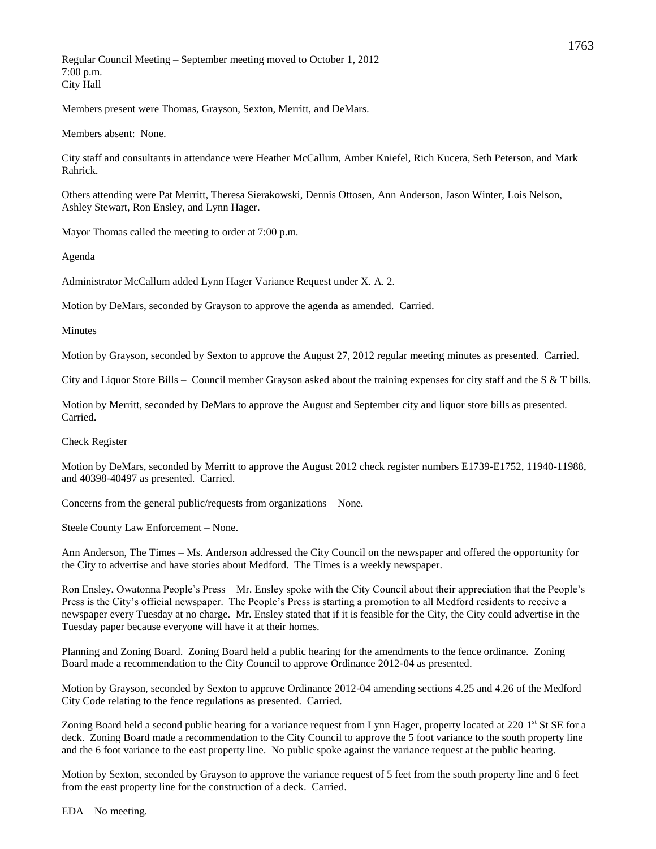Regular Council Meeting – September meeting moved to October 1, 2012 7:00 p.m. City Hall

Members present were Thomas, Grayson, Sexton, Merritt, and DeMars.

Members absent: None.

City staff and consultants in attendance were Heather McCallum, Amber Kniefel, Rich Kucera, Seth Peterson, and Mark Rahrick.

Others attending were Pat Merritt, Theresa Sierakowski, Dennis Ottosen, Ann Anderson, Jason Winter, Lois Nelson, Ashley Stewart, Ron Ensley, and Lynn Hager.

Mayor Thomas called the meeting to order at 7:00 p.m.

Agenda

Administrator McCallum added Lynn Hager Variance Request under X. A. 2.

Motion by DeMars, seconded by Grayson to approve the agenda as amended. Carried.

Minutes

Motion by Grayson, seconded by Sexton to approve the August 27, 2012 regular meeting minutes as presented. Carried.

City and Liquor Store Bills – Council member Grayson asked about the training expenses for city staff and the  $S & T$  bills.

Motion by Merritt, seconded by DeMars to approve the August and September city and liquor store bills as presented. Carried.

Check Register

Motion by DeMars, seconded by Merritt to approve the August 2012 check register numbers E1739-E1752, 11940-11988, and 40398-40497 as presented. Carried.

Concerns from the general public/requests from organizations – None.

Steele County Law Enforcement – None.

Ann Anderson, The Times – Ms. Anderson addressed the City Council on the newspaper and offered the opportunity for the City to advertise and have stories about Medford. The Times is a weekly newspaper.

Ron Ensley, Owatonna People's Press – Mr. Ensley spoke with the City Council about their appreciation that the People's Press is the City's official newspaper. The People's Press is starting a promotion to all Medford residents to receive a newspaper every Tuesday at no charge. Mr. Ensley stated that if it is feasible for the City, the City could advertise in the Tuesday paper because everyone will have it at their homes.

Planning and Zoning Board. Zoning Board held a public hearing for the amendments to the fence ordinance. Zoning Board made a recommendation to the City Council to approve Ordinance 2012-04 as presented.

Motion by Grayson, seconded by Sexton to approve Ordinance 2012-04 amending sections 4.25 and 4.26 of the Medford City Code relating to the fence regulations as presented. Carried.

Zoning Board held a second public hearing for a variance request from Lynn Hager, property located at 220 1<sup>st</sup> St SE for a deck. Zoning Board made a recommendation to the City Council to approve the 5 foot variance to the south property line and the 6 foot variance to the east property line. No public spoke against the variance request at the public hearing.

Motion by Sexton, seconded by Grayson to approve the variance request of 5 feet from the south property line and 6 feet from the east property line for the construction of a deck. Carried.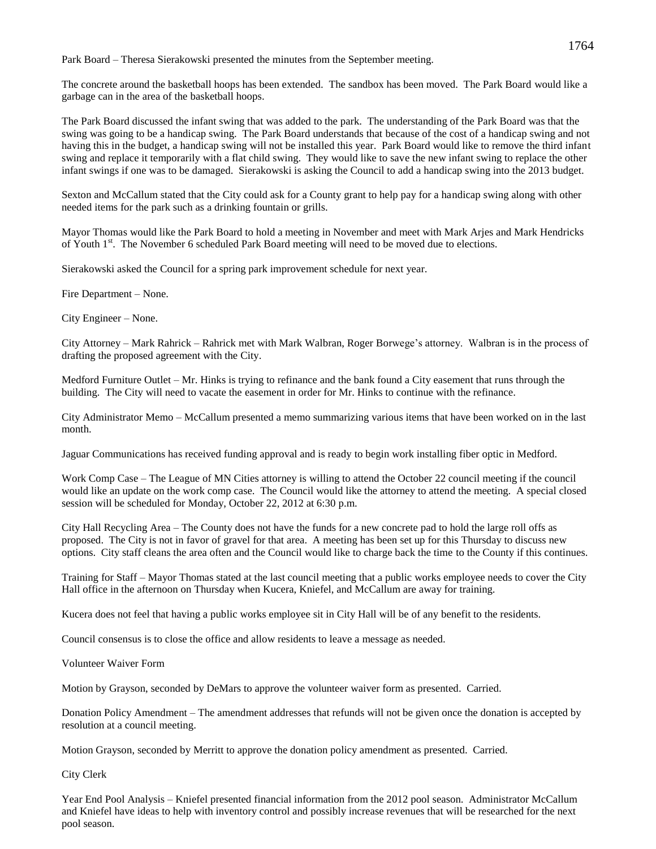Park Board – Theresa Sierakowski presented the minutes from the September meeting.

The concrete around the basketball hoops has been extended. The sandbox has been moved. The Park Board would like a garbage can in the area of the basketball hoops.

The Park Board discussed the infant swing that was added to the park. The understanding of the Park Board was that the swing was going to be a handicap swing. The Park Board understands that because of the cost of a handicap swing and not having this in the budget, a handicap swing will not be installed this year. Park Board would like to remove the third infant swing and replace it temporarily with a flat child swing. They would like to save the new infant swing to replace the other infant swings if one was to be damaged. Sierakowski is asking the Council to add a handicap swing into the 2013 budget.

Sexton and McCallum stated that the City could ask for a County grant to help pay for a handicap swing along with other needed items for the park such as a drinking fountain or grills.

Mayor Thomas would like the Park Board to hold a meeting in November and meet with Mark Arjes and Mark Hendricks of Youth 1<sup>st</sup>. The November 6 scheduled Park Board meeting will need to be moved due to elections.

Sierakowski asked the Council for a spring park improvement schedule for next year.

Fire Department – None.

City Engineer – None.

City Attorney – Mark Rahrick – Rahrick met with Mark Walbran, Roger Borwege's attorney. Walbran is in the process of drafting the proposed agreement with the City.

Medford Furniture Outlet – Mr. Hinks is trying to refinance and the bank found a City easement that runs through the building. The City will need to vacate the easement in order for Mr. Hinks to continue with the refinance.

City Administrator Memo – McCallum presented a memo summarizing various items that have been worked on in the last month.

Jaguar Communications has received funding approval and is ready to begin work installing fiber optic in Medford.

Work Comp Case – The League of MN Cities attorney is willing to attend the October 22 council meeting if the council would like an update on the work comp case. The Council would like the attorney to attend the meeting. A special closed session will be scheduled for Monday, October 22, 2012 at 6:30 p.m.

City Hall Recycling Area – The County does not have the funds for a new concrete pad to hold the large roll offs as proposed. The City is not in favor of gravel for that area. A meeting has been set up for this Thursday to discuss new options. City staff cleans the area often and the Council would like to charge back the time to the County if this continues.

Training for Staff – Mayor Thomas stated at the last council meeting that a public works employee needs to cover the City Hall office in the afternoon on Thursday when Kucera, Kniefel, and McCallum are away for training.

Kucera does not feel that having a public works employee sit in City Hall will be of any benefit to the residents.

Council consensus is to close the office and allow residents to leave a message as needed.

Volunteer Waiver Form

Motion by Grayson, seconded by DeMars to approve the volunteer waiver form as presented. Carried.

Donation Policy Amendment – The amendment addresses that refunds will not be given once the donation is accepted by resolution at a council meeting.

Motion Grayson, seconded by Merritt to approve the donation policy amendment as presented. Carried.

City Clerk

Year End Pool Analysis – Kniefel presented financial information from the 2012 pool season. Administrator McCallum and Kniefel have ideas to help with inventory control and possibly increase revenues that will be researched for the next pool season.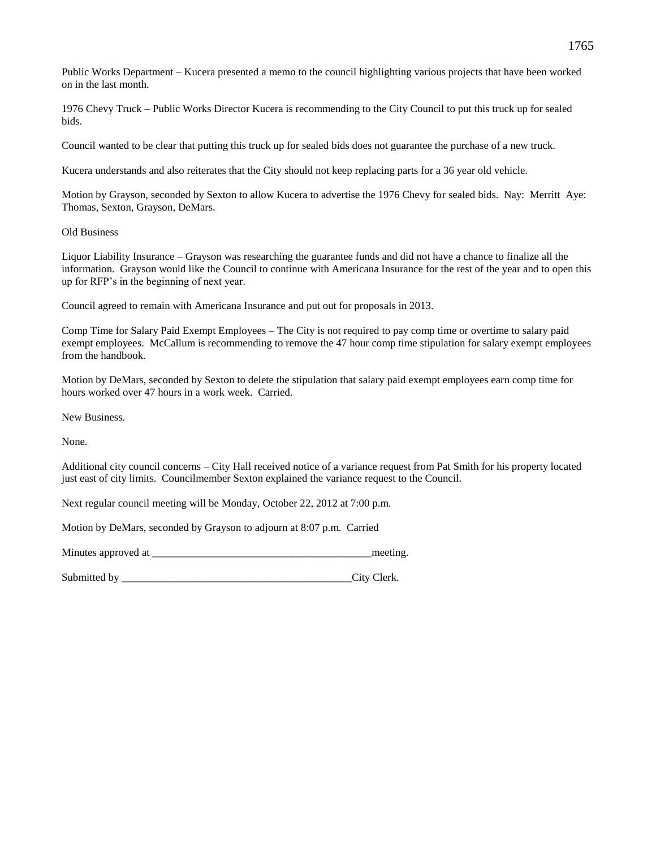Public Works Department – Kucera presented a memo to the council highlighting various projects that have been worked on in the last month.

1976 Chevy Truck – Public Works Director Kucera is recommending to the City Council to put this truck up for sealed bids.

Council wanted to be clear that putting this truck up for sealed bids does not guarantee the purchase of a new truck.

Kucera understands and also reiterates that the City should not keep replacing parts for a 36 year old vehicle.

Motion by Grayson, seconded by Sexton to allow Kucera to advertise the 1976 Chevy for sealed bids. Nay: Merritt Aye: Thomas, Sexton, Grayson, DeMars.

## Old Business

Liquor Liability Insurance – Grayson was researching the guarantee funds and did not have a chance to finalize all the information. Grayson would like the Council to continue with Americana Insurance for the rest of the year and to open this up for RFP's in the beginning of next year.

Council agreed to remain with Americana Insurance and put out for proposals in 2013.

Comp Time for Salary Paid Exempt Employees – The City is not required to pay comp time or overtime to salary paid exempt employees. McCallum is recommending to remove the 47 hour comp time stipulation for salary exempt employees from the handbook.

Motion by DeMars, seconded by Sexton to delete the stipulation that salary paid exempt employees earn comp time for hours worked over 47 hours in a work week. Carried.

New Business.

None.

Additional city council concerns – City Hall received notice of a variance request from Pat Smith for his property located just east of city limits. Councilmember Sexton explained the variance request to the Council.

Next regular council meeting will be Monday, October 22, 2012 at 7:00 p.m.

Motion by DeMars, seconded by Grayson to adjourn at 8:07 p.m. Carried

Minutes approved at \_\_\_\_\_\_\_\_\_\_\_\_\_\_\_\_\_\_\_\_\_\_\_\_\_\_\_\_\_\_\_\_\_\_\_\_\_\_\_\_\_meeting.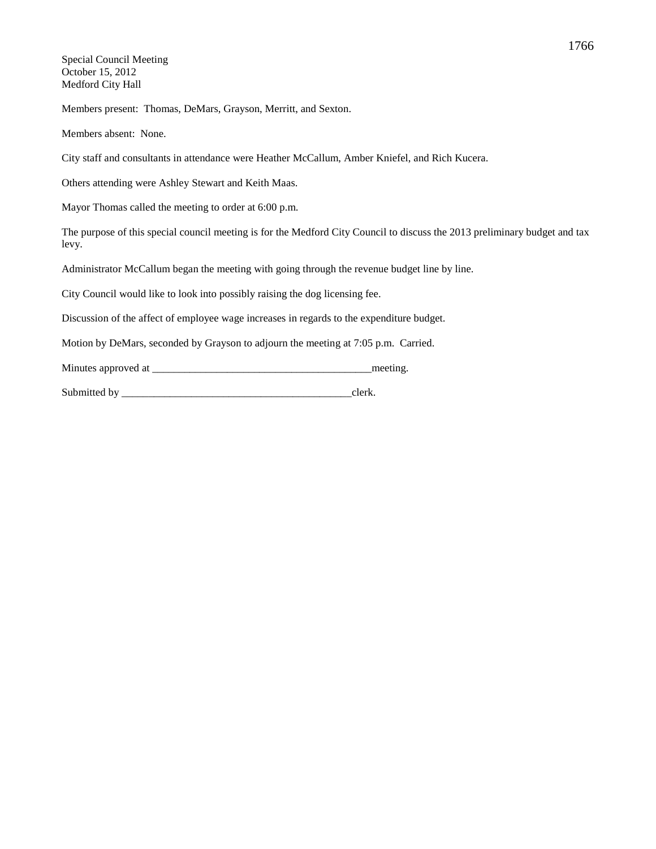Special Council Meeting October 15, 2012 Medford City Hall

Members present: Thomas, DeMars, Grayson, Merritt, and Sexton.

Members absent: None.

City staff and consultants in attendance were Heather McCallum, Amber Kniefel, and Rich Kucera.

Others attending were Ashley Stewart and Keith Maas.

Mayor Thomas called the meeting to order at 6:00 p.m.

The purpose of this special council meeting is for the Medford City Council to discuss the 2013 preliminary budget and tax levy.

Administrator McCallum began the meeting with going through the revenue budget line by line.

City Council would like to look into possibly raising the dog licensing fee.

Discussion of the affect of employee wage increases in regards to the expenditure budget.

Motion by DeMars, seconded by Grayson to adjourn the meeting at 7:05 p.m. Carried.

Minutes approved at \_\_\_\_\_\_\_\_\_\_\_\_\_\_\_\_\_\_\_\_\_\_\_\_\_\_\_\_\_\_\_\_\_\_\_\_\_\_\_\_\_meeting.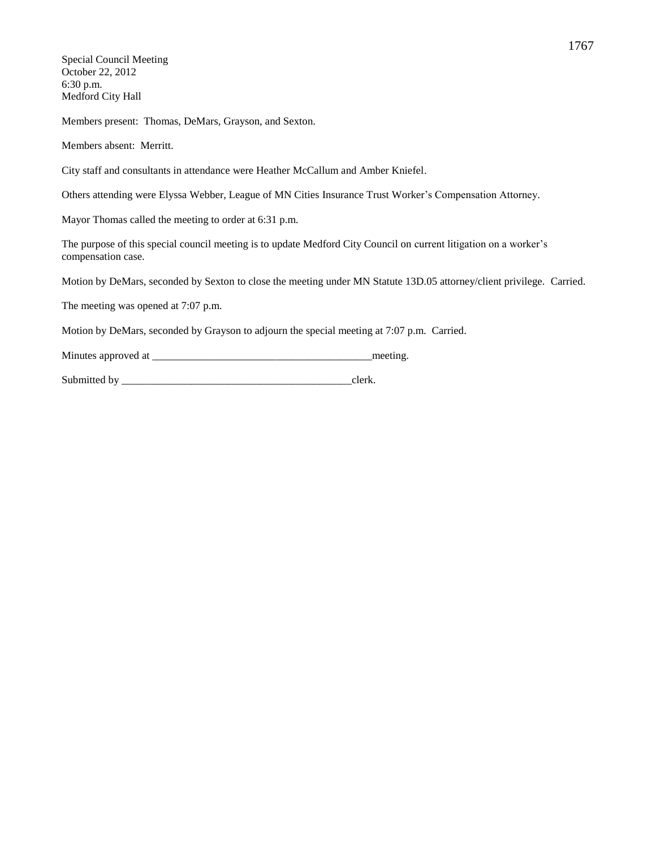Special Council Meeting October 22, 2012 6:30 p.m. Medford City Hall

Members present: Thomas, DeMars, Grayson, and Sexton.

Members absent: Merritt.

City staff and consultants in attendance were Heather McCallum and Amber Kniefel.

Others attending were Elyssa Webber, League of MN Cities Insurance Trust Worker's Compensation Attorney.

Mayor Thomas called the meeting to order at 6:31 p.m.

The purpose of this special council meeting is to update Medford City Council on current litigation on a worker's compensation case.

Motion by DeMars, seconded by Sexton to close the meeting under MN Statute 13D.05 attorney/client privilege. Carried.

The meeting was opened at 7:07 p.m.

Motion by DeMars, seconded by Grayson to adjourn the special meeting at 7:07 p.m. Carried.

Minutes approved at  $\blacksquare$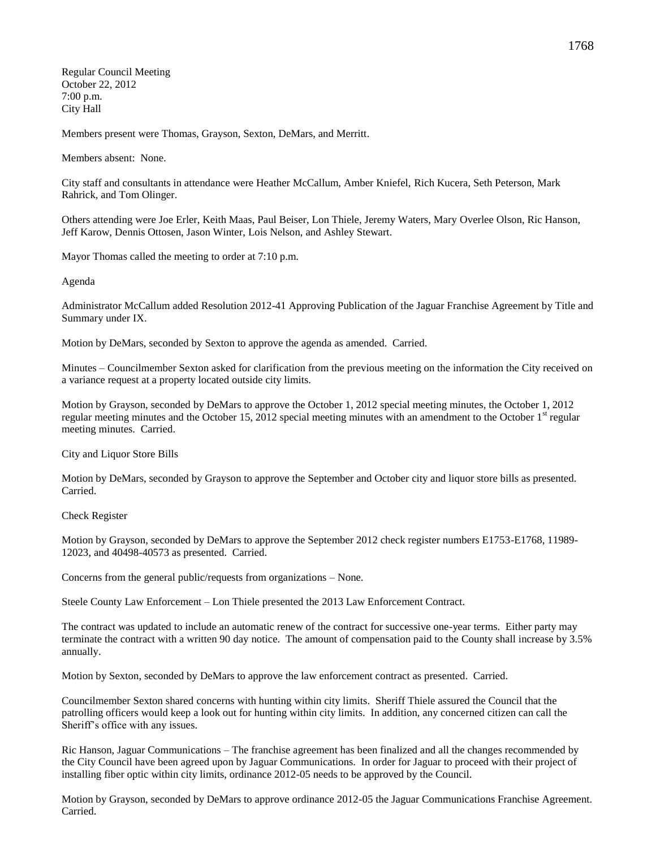Regular Council Meeting October 22, 2012 7:00 p.m. City Hall

Members present were Thomas, Grayson, Sexton, DeMars, and Merritt.

Members absent: None.

City staff and consultants in attendance were Heather McCallum, Amber Kniefel, Rich Kucera, Seth Peterson, Mark Rahrick, and Tom Olinger.

Others attending were Joe Erler, Keith Maas, Paul Beiser, Lon Thiele, Jeremy Waters, Mary Overlee Olson, Ric Hanson, Jeff Karow, Dennis Ottosen, Jason Winter, Lois Nelson, and Ashley Stewart.

Mayor Thomas called the meeting to order at 7:10 p.m.

Agenda

Administrator McCallum added Resolution 2012-41 Approving Publication of the Jaguar Franchise Agreement by Title and Summary under IX.

Motion by DeMars, seconded by Sexton to approve the agenda as amended. Carried.

Minutes – Councilmember Sexton asked for clarification from the previous meeting on the information the City received on a variance request at a property located outside city limits.

Motion by Grayson, seconded by DeMars to approve the October 1, 2012 special meeting minutes, the October 1, 2012 regular meeting minutes and the October 15, 2012 special meeting minutes with an amendment to the October  $1<sup>st</sup>$  regular meeting minutes. Carried.

City and Liquor Store Bills

Motion by DeMars, seconded by Grayson to approve the September and October city and liquor store bills as presented. Carried.

Check Register

Motion by Grayson, seconded by DeMars to approve the September 2012 check register numbers E1753-E1768, 11989- 12023, and 40498-40573 as presented. Carried.

Concerns from the general public/requests from organizations – None.

Steele County Law Enforcement – Lon Thiele presented the 2013 Law Enforcement Contract.

The contract was updated to include an automatic renew of the contract for successive one-year terms. Either party may terminate the contract with a written 90 day notice. The amount of compensation paid to the County shall increase by 3.5% annually.

Motion by Sexton, seconded by DeMars to approve the law enforcement contract as presented. Carried.

Councilmember Sexton shared concerns with hunting within city limits. Sheriff Thiele assured the Council that the patrolling officers would keep a look out for hunting within city limits. In addition, any concerned citizen can call the Sheriff's office with any issues.

Ric Hanson, Jaguar Communications – The franchise agreement has been finalized and all the changes recommended by the City Council have been agreed upon by Jaguar Communications. In order for Jaguar to proceed with their project of installing fiber optic within city limits, ordinance 2012-05 needs to be approved by the Council.

Motion by Grayson, seconded by DeMars to approve ordinance 2012-05 the Jaguar Communications Franchise Agreement. Carried.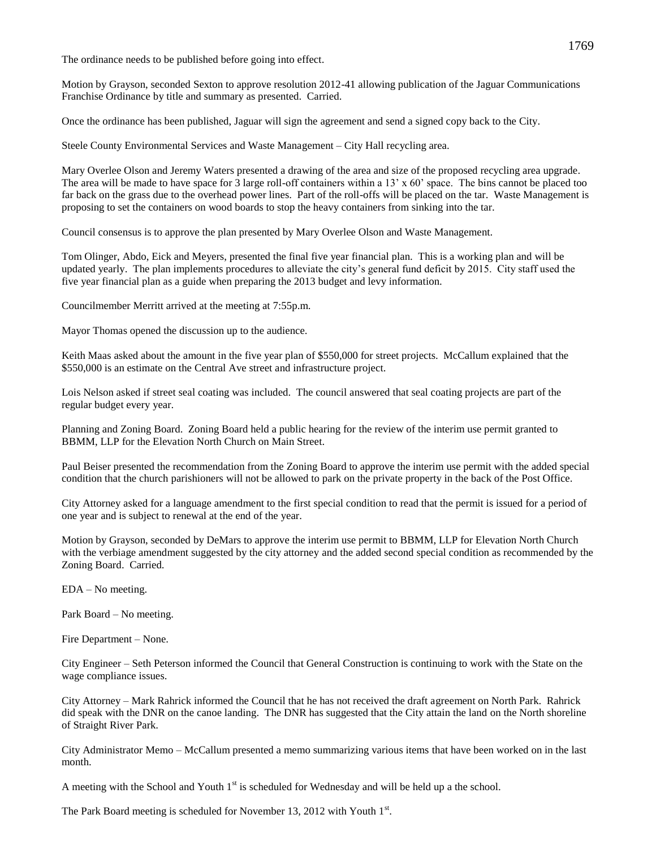The ordinance needs to be published before going into effect.

Motion by Grayson, seconded Sexton to approve resolution 2012-41 allowing publication of the Jaguar Communications Franchise Ordinance by title and summary as presented. Carried.

Once the ordinance has been published, Jaguar will sign the agreement and send a signed copy back to the City.

Steele County Environmental Services and Waste Management – City Hall recycling area.

Mary Overlee Olson and Jeremy Waters presented a drawing of the area and size of the proposed recycling area upgrade. The area will be made to have space for 3 large roll-off containers within a  $13' \times 60'$  space. The bins cannot be placed too far back on the grass due to the overhead power lines. Part of the roll-offs will be placed on the tar. Waste Management is proposing to set the containers on wood boards to stop the heavy containers from sinking into the tar.

Council consensus is to approve the plan presented by Mary Overlee Olson and Waste Management.

Tom Olinger, Abdo, Eick and Meyers, presented the final five year financial plan. This is a working plan and will be updated yearly. The plan implements procedures to alleviate the city's general fund deficit by 2015. City staff used the five year financial plan as a guide when preparing the 2013 budget and levy information.

Councilmember Merritt arrived at the meeting at 7:55p.m.

Mayor Thomas opened the discussion up to the audience.

Keith Maas asked about the amount in the five year plan of \$550,000 for street projects. McCallum explained that the \$550,000 is an estimate on the Central Ave street and infrastructure project.

Lois Nelson asked if street seal coating was included. The council answered that seal coating projects are part of the regular budget every year.

Planning and Zoning Board. Zoning Board held a public hearing for the review of the interim use permit granted to BBMM, LLP for the Elevation North Church on Main Street.

Paul Beiser presented the recommendation from the Zoning Board to approve the interim use permit with the added special condition that the church parishioners will not be allowed to park on the private property in the back of the Post Office.

City Attorney asked for a language amendment to the first special condition to read that the permit is issued for a period of one year and is subject to renewal at the end of the year.

Motion by Grayson, seconded by DeMars to approve the interim use permit to BBMM, LLP for Elevation North Church with the verbiage amendment suggested by the city attorney and the added second special condition as recommended by the Zoning Board. Carried.

EDA – No meeting.

Park Board – No meeting.

Fire Department – None.

City Engineer – Seth Peterson informed the Council that General Construction is continuing to work with the State on the wage compliance issues.

City Attorney – Mark Rahrick informed the Council that he has not received the draft agreement on North Park. Rahrick did speak with the DNR on the canoe landing. The DNR has suggested that the City attain the land on the North shoreline of Straight River Park.

City Administrator Memo – McCallum presented a memo summarizing various items that have been worked on in the last month.

A meeting with the School and Youth  $1<sup>st</sup>$  is scheduled for Wednesday and will be held up a the school.

The Park Board meeting is scheduled for November 13, 2012 with Youth 1st.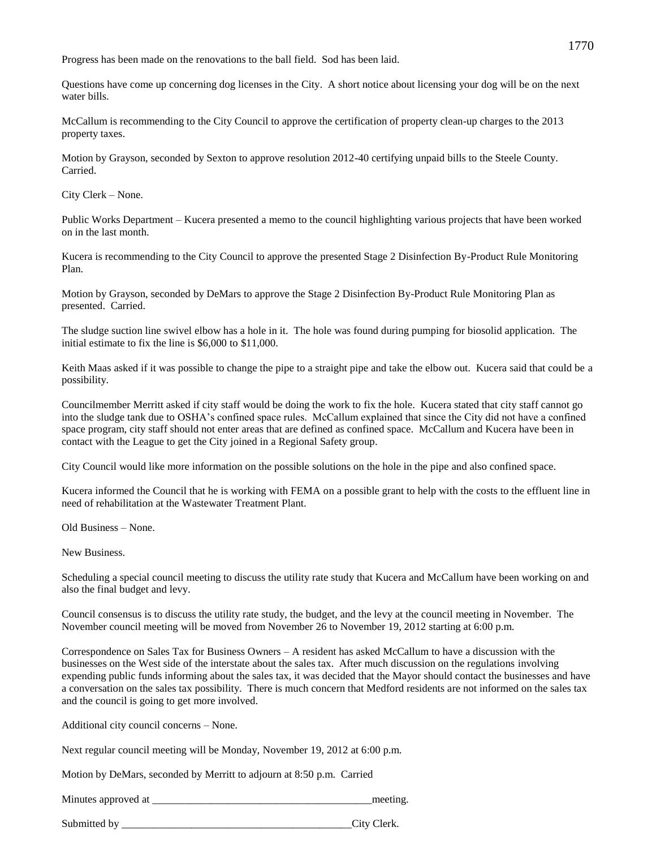Progress has been made on the renovations to the ball field. Sod has been laid.

Questions have come up concerning dog licenses in the City. A short notice about licensing your dog will be on the next water bills.

McCallum is recommending to the City Council to approve the certification of property clean-up charges to the 2013 property taxes.

Motion by Grayson, seconded by Sexton to approve resolution 2012-40 certifying unpaid bills to the Steele County. Carried.

City Clerk – None.

Public Works Department – Kucera presented a memo to the council highlighting various projects that have been worked on in the last month.

Kucera is recommending to the City Council to approve the presented Stage 2 Disinfection By-Product Rule Monitoring Plan.

Motion by Grayson, seconded by DeMars to approve the Stage 2 Disinfection By-Product Rule Monitoring Plan as presented. Carried.

The sludge suction line swivel elbow has a hole in it. The hole was found during pumping for biosolid application. The initial estimate to fix the line is \$6,000 to \$11,000.

Keith Maas asked if it was possible to change the pipe to a straight pipe and take the elbow out. Kucera said that could be a possibility.

Councilmember Merritt asked if city staff would be doing the work to fix the hole. Kucera stated that city staff cannot go into the sludge tank due to OSHA's confined space rules. McCallum explained that since the City did not have a confined space program, city staff should not enter areas that are defined as confined space. McCallum and Kucera have been in contact with the League to get the City joined in a Regional Safety group.

City Council would like more information on the possible solutions on the hole in the pipe and also confined space.

Kucera informed the Council that he is working with FEMA on a possible grant to help with the costs to the effluent line in need of rehabilitation at the Wastewater Treatment Plant.

Old Business – None.

New Business.

Scheduling a special council meeting to discuss the utility rate study that Kucera and McCallum have been working on and also the final budget and levy.

Council consensus is to discuss the utility rate study, the budget, and the levy at the council meeting in November. The November council meeting will be moved from November 26 to November 19, 2012 starting at 6:00 p.m.

Correspondence on Sales Tax for Business Owners – A resident has asked McCallum to have a discussion with the businesses on the West side of the interstate about the sales tax. After much discussion on the regulations involving expending public funds informing about the sales tax, it was decided that the Mayor should contact the businesses and have a conversation on the sales tax possibility. There is much concern that Medford residents are not informed on the sales tax and the council is going to get more involved.

Additional city council concerns – None.

Next regular council meeting will be Monday, November 19, 2012 at 6:00 p.m.

Motion by DeMars, seconded by Merritt to adjourn at 8:50 p.m. Carried

Minutes approved at \_\_\_\_\_\_\_\_\_\_\_\_\_\_\_\_\_\_\_\_\_\_\_\_\_\_\_\_\_\_\_\_\_\_\_\_\_\_\_\_\_meeting.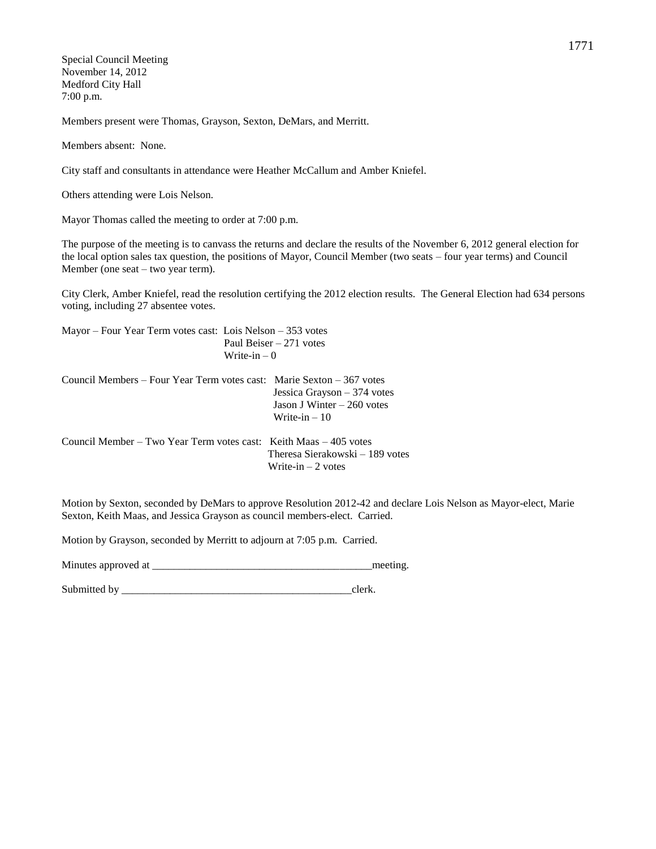Special Council Meeting November 14, 2012 Medford City Hall 7:00 p.m.

Members present were Thomas, Grayson, Sexton, DeMars, and Merritt.

Members absent: None.

City staff and consultants in attendance were Heather McCallum and Amber Kniefel.

Others attending were Lois Nelson.

Mayor Thomas called the meeting to order at 7:00 p.m.

The purpose of the meeting is to canvass the returns and declare the results of the November 6, 2012 general election for the local option sales tax question, the positions of Mayor, Council Member (two seats – four year terms) and Council Member (one seat – two year term).

City Clerk, Amber Kniefel, read the resolution certifying the 2012 election results. The General Election had 634 persons voting, including 27 absentee votes.

Mayor – Four Year Term votes cast: Lois Nelson – 353 votes Paul Beiser – 271 votes Write-in  $-0$ 

Council Members – Four Year Term votes cast: Marie Sexton – 367 votes Jessica Grayson – 374 votes Jason J Winter – 260 votes Write-in – 10

Council Member – Two Year Term votes cast: Keith Maas – 405 votes Theresa Sierakowski – 189 votes Write-in  $-2$  votes

Motion by Sexton, seconded by DeMars to approve Resolution 2012-42 and declare Lois Nelson as Mayor-elect, Marie Sexton, Keith Maas, and Jessica Grayson as council members-elect. Carried.

Motion by Grayson, seconded by Merritt to adjourn at 7:05 p.m. Carried.

Minutes approved at \_\_\_\_\_\_\_\_\_\_\_\_\_\_\_\_\_\_\_\_\_\_\_\_\_\_\_\_\_\_\_\_\_\_\_\_\_\_\_\_\_meeting.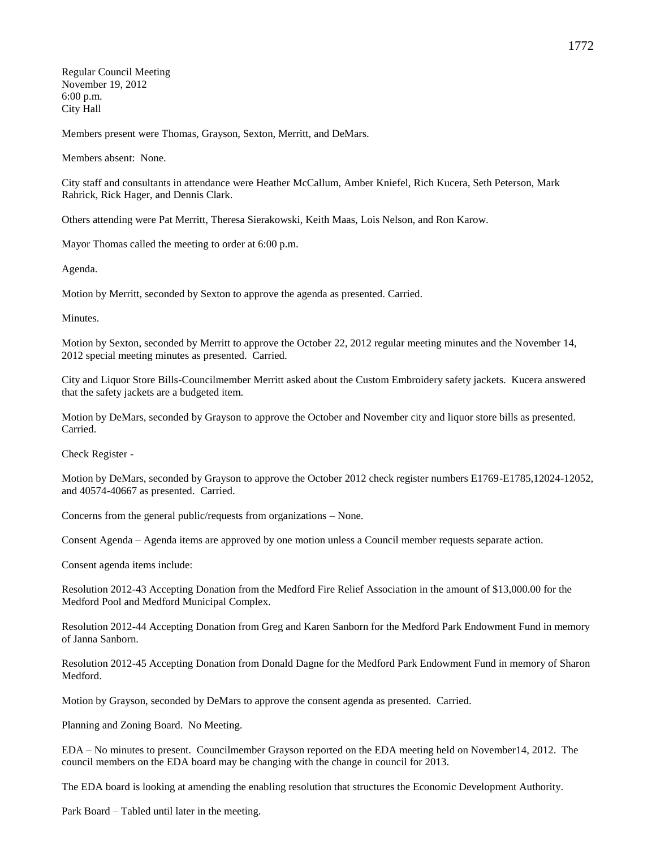Regular Council Meeting November 19, 2012 6:00 p.m. City Hall

Members present were Thomas, Grayson, Sexton, Merritt, and DeMars.

Members absent: None.

City staff and consultants in attendance were Heather McCallum, Amber Kniefel, Rich Kucera, Seth Peterson, Mark Rahrick, Rick Hager, and Dennis Clark.

Others attending were Pat Merritt, Theresa Sierakowski, Keith Maas, Lois Nelson, and Ron Karow.

Mayor Thomas called the meeting to order at 6:00 p.m.

Agenda.

Motion by Merritt, seconded by Sexton to approve the agenda as presented. Carried.

**Minutes** 

Motion by Sexton, seconded by Merritt to approve the October 22, 2012 regular meeting minutes and the November 14, 2012 special meeting minutes as presented. Carried.

City and Liquor Store Bills-Councilmember Merritt asked about the Custom Embroidery safety jackets. Kucera answered that the safety jackets are a budgeted item.

Motion by DeMars, seconded by Grayson to approve the October and November city and liquor store bills as presented. Carried.

Check Register -

Motion by DeMars, seconded by Grayson to approve the October 2012 check register numbers E1769-E1785,12024-12052, and 40574-40667 as presented. Carried.

Concerns from the general public/requests from organizations – None.

Consent Agenda – Agenda items are approved by one motion unless a Council member requests separate action.

Consent agenda items include:

Resolution 2012-43 Accepting Donation from the Medford Fire Relief Association in the amount of \$13,000.00 for the Medford Pool and Medford Municipal Complex.

Resolution 2012-44 Accepting Donation from Greg and Karen Sanborn for the Medford Park Endowment Fund in memory of Janna Sanborn.

Resolution 2012-45 Accepting Donation from Donald Dagne for the Medford Park Endowment Fund in memory of Sharon Medford.

Motion by Grayson, seconded by DeMars to approve the consent agenda as presented. Carried.

Planning and Zoning Board. No Meeting.

EDA – No minutes to present. Councilmember Grayson reported on the EDA meeting held on November14, 2012. The council members on the EDA board may be changing with the change in council for 2013.

The EDA board is looking at amending the enabling resolution that structures the Economic Development Authority.

Park Board – Tabled until later in the meeting.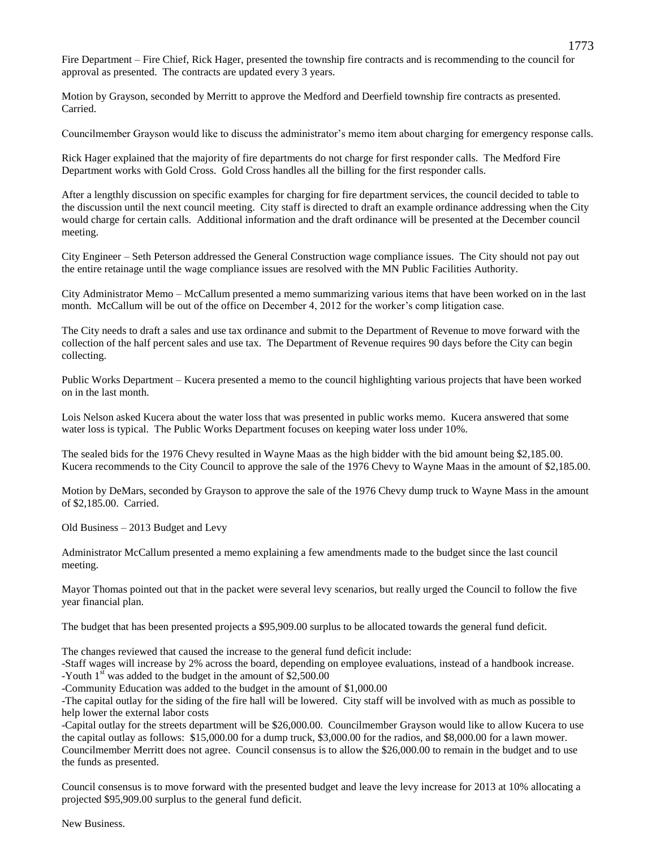Fire Department – Fire Chief, Rick Hager, presented the township fire contracts and is recommending to the council for approval as presented. The contracts are updated every 3 years.

Motion by Grayson, seconded by Merritt to approve the Medford and Deerfield township fire contracts as presented. Carried.

Councilmember Grayson would like to discuss the administrator's memo item about charging for emergency response calls.

Rick Hager explained that the majority of fire departments do not charge for first responder calls. The Medford Fire Department works with Gold Cross. Gold Cross handles all the billing for the first responder calls.

After a lengthly discussion on specific examples for charging for fire department services, the council decided to table to the discussion until the next council meeting. City staff is directed to draft an example ordinance addressing when the City would charge for certain calls. Additional information and the draft ordinance will be presented at the December council meeting.

City Engineer – Seth Peterson addressed the General Construction wage compliance issues. The City should not pay out the entire retainage until the wage compliance issues are resolved with the MN Public Facilities Authority.

City Administrator Memo – McCallum presented a memo summarizing various items that have been worked on in the last month. McCallum will be out of the office on December 4, 2012 for the worker's comp litigation case.

The City needs to draft a sales and use tax ordinance and submit to the Department of Revenue to move forward with the collection of the half percent sales and use tax. The Department of Revenue requires 90 days before the City can begin collecting.

Public Works Department – Kucera presented a memo to the council highlighting various projects that have been worked on in the last month.

Lois Nelson asked Kucera about the water loss that was presented in public works memo. Kucera answered that some water loss is typical. The Public Works Department focuses on keeping water loss under 10%.

The sealed bids for the 1976 Chevy resulted in Wayne Maas as the high bidder with the bid amount being \$2,185.00. Kucera recommends to the City Council to approve the sale of the 1976 Chevy to Wayne Maas in the amount of \$2,185.00.

Motion by DeMars, seconded by Grayson to approve the sale of the 1976 Chevy dump truck to Wayne Mass in the amount of \$2,185.00. Carried.

Old Business – 2013 Budget and Levy

Administrator McCallum presented a memo explaining a few amendments made to the budget since the last council meeting.

Mayor Thomas pointed out that in the packet were several levy scenarios, but really urged the Council to follow the five year financial plan.

The budget that has been presented projects a \$95,909.00 surplus to be allocated towards the general fund deficit.

The changes reviewed that caused the increase to the general fund deficit include:

-Staff wages will increase by 2% across the board, depending on employee evaluations, instead of a handbook increase. -Youth  $1<sup>st</sup>$  was added to the budget in the amount of \$2,500.00

-Community Education was added to the budget in the amount of \$1,000.00

-The capital outlay for the siding of the fire hall will be lowered. City staff will be involved with as much as possible to help lower the external labor costs

-Capital outlay for the streets department will be \$26,000.00. Councilmember Grayson would like to allow Kucera to use the capital outlay as follows: \$15,000.00 for a dump truck, \$3,000.00 for the radios, and \$8,000.00 for a lawn mower. Councilmember Merritt does not agree. Council consensus is to allow the \$26,000.00 to remain in the budget and to use the funds as presented.

Council consensus is to move forward with the presented budget and leave the levy increase for 2013 at 10% allocating a projected \$95,909.00 surplus to the general fund deficit.

New Business.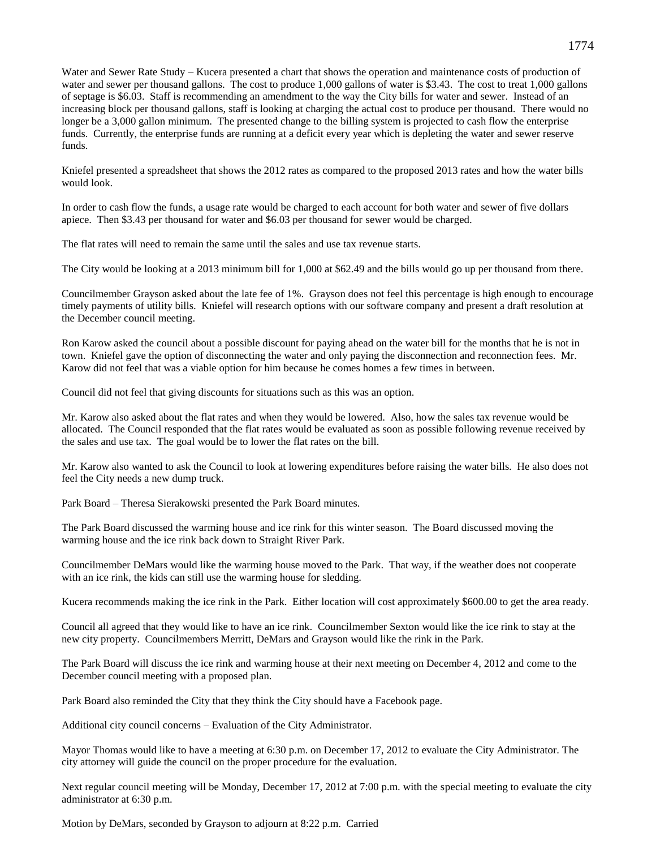Water and Sewer Rate Study – Kucera presented a chart that shows the operation and maintenance costs of production of water and sewer per thousand gallons. The cost to produce 1,000 gallons of water is \$3.43. The cost to treat 1,000 gallons of septage is \$6.03. Staff is recommending an amendment to the way the City bills for water and sewer. Instead of an increasing block per thousand gallons, staff is looking at charging the actual cost to produce per thousand. There would no longer be a 3,000 gallon minimum. The presented change to the billing system is projected to cash flow the enterprise funds. Currently, the enterprise funds are running at a deficit every year which is depleting the water and sewer reserve funds.

Kniefel presented a spreadsheet that shows the 2012 rates as compared to the proposed 2013 rates and how the water bills would look.

In order to cash flow the funds, a usage rate would be charged to each account for both water and sewer of five dollars apiece. Then \$3.43 per thousand for water and \$6.03 per thousand for sewer would be charged.

The flat rates will need to remain the same until the sales and use tax revenue starts.

The City would be looking at a 2013 minimum bill for 1,000 at \$62.49 and the bills would go up per thousand from there.

Councilmember Grayson asked about the late fee of 1%. Grayson does not feel this percentage is high enough to encourage timely payments of utility bills. Kniefel will research options with our software company and present a draft resolution at the December council meeting.

Ron Karow asked the council about a possible discount for paying ahead on the water bill for the months that he is not in town. Kniefel gave the option of disconnecting the water and only paying the disconnection and reconnection fees. Mr. Karow did not feel that was a viable option for him because he comes homes a few times in between.

Council did not feel that giving discounts for situations such as this was an option.

Mr. Karow also asked about the flat rates and when they would be lowered. Also, how the sales tax revenue would be allocated. The Council responded that the flat rates would be evaluated as soon as possible following revenue received by the sales and use tax. The goal would be to lower the flat rates on the bill.

Mr. Karow also wanted to ask the Council to look at lowering expenditures before raising the water bills. He also does not feel the City needs a new dump truck.

Park Board – Theresa Sierakowski presented the Park Board minutes.

The Park Board discussed the warming house and ice rink for this winter season. The Board discussed moving the warming house and the ice rink back down to Straight River Park.

Councilmember DeMars would like the warming house moved to the Park. That way, if the weather does not cooperate with an ice rink, the kids can still use the warming house for sledding.

Kucera recommends making the ice rink in the Park. Either location will cost approximately \$600.00 to get the area ready.

Council all agreed that they would like to have an ice rink. Councilmember Sexton would like the ice rink to stay at the new city property. Councilmembers Merritt, DeMars and Grayson would like the rink in the Park.

The Park Board will discuss the ice rink and warming house at their next meeting on December 4, 2012 and come to the December council meeting with a proposed plan.

Park Board also reminded the City that they think the City should have a Facebook page.

Additional city council concerns – Evaluation of the City Administrator.

Mayor Thomas would like to have a meeting at 6:30 p.m. on December 17, 2012 to evaluate the City Administrator. The city attorney will guide the council on the proper procedure for the evaluation.

Next regular council meeting will be Monday, December 17, 2012 at 7:00 p.m. with the special meeting to evaluate the city administrator at 6:30 p.m.

Motion by DeMars, seconded by Grayson to adjourn at 8:22 p.m. Carried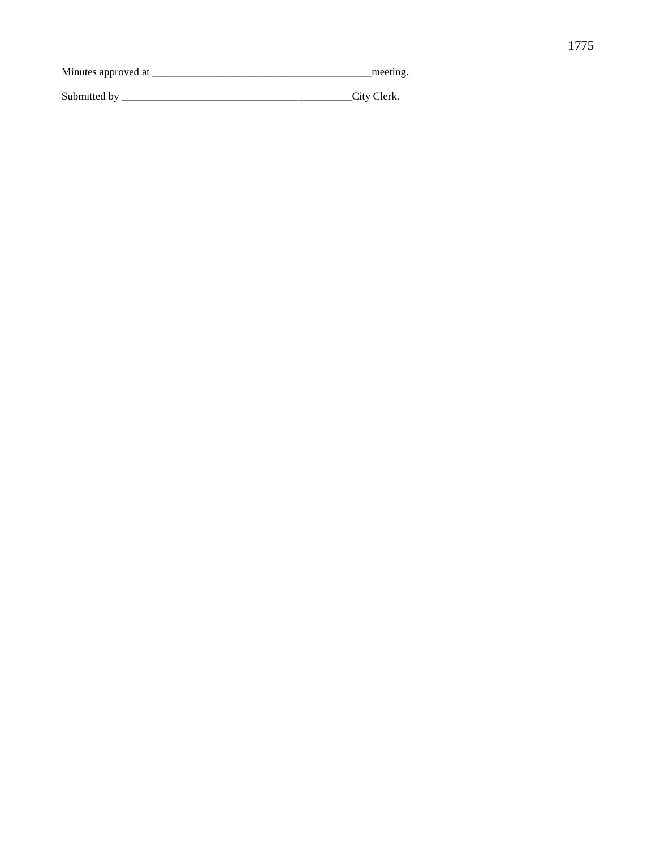| Minutes approved at | meeting |
|---------------------|---------|
|                     |         |
|                     |         |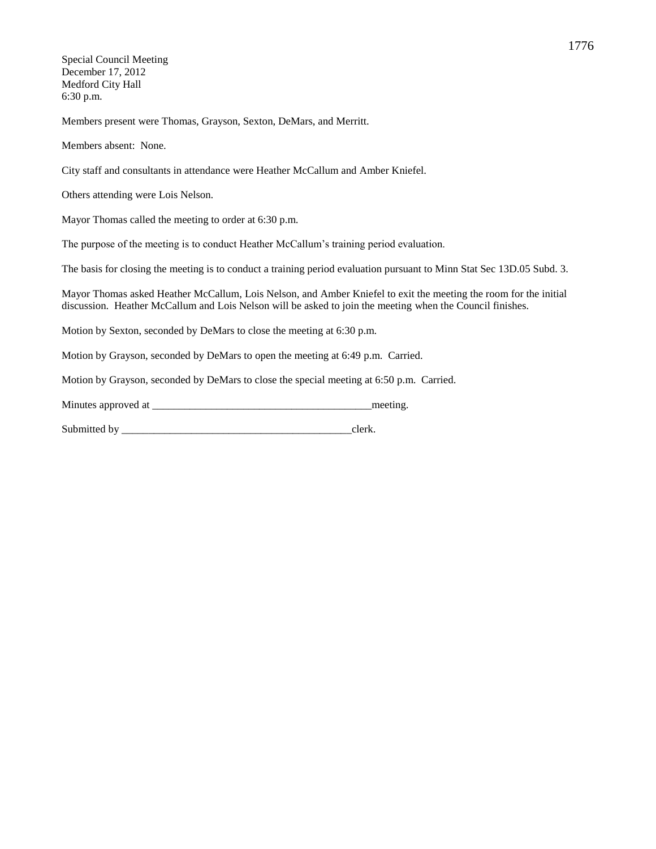Special Council Meeting December 17, 2012 Medford City Hall 6:30 p.m.

Members present were Thomas, Grayson, Sexton, DeMars, and Merritt.

Members absent: None.

City staff and consultants in attendance were Heather McCallum and Amber Kniefel.

Others attending were Lois Nelson.

Mayor Thomas called the meeting to order at 6:30 p.m.

The purpose of the meeting is to conduct Heather McCallum's training period evaluation.

The basis for closing the meeting is to conduct a training period evaluation pursuant to Minn Stat Sec 13D.05 Subd. 3.

Mayor Thomas asked Heather McCallum, Lois Nelson, and Amber Kniefel to exit the meeting the room for the initial discussion. Heather McCallum and Lois Nelson will be asked to join the meeting when the Council finishes.

Motion by Sexton, seconded by DeMars to close the meeting at 6:30 p.m.

Motion by Grayson, seconded by DeMars to open the meeting at 6:49 p.m. Carried.

Motion by Grayson, seconded by DeMars to close the special meeting at 6:50 p.m. Carried.

| Minutes approved at |  | meeting |
|---------------------|--|---------|
|---------------------|--|---------|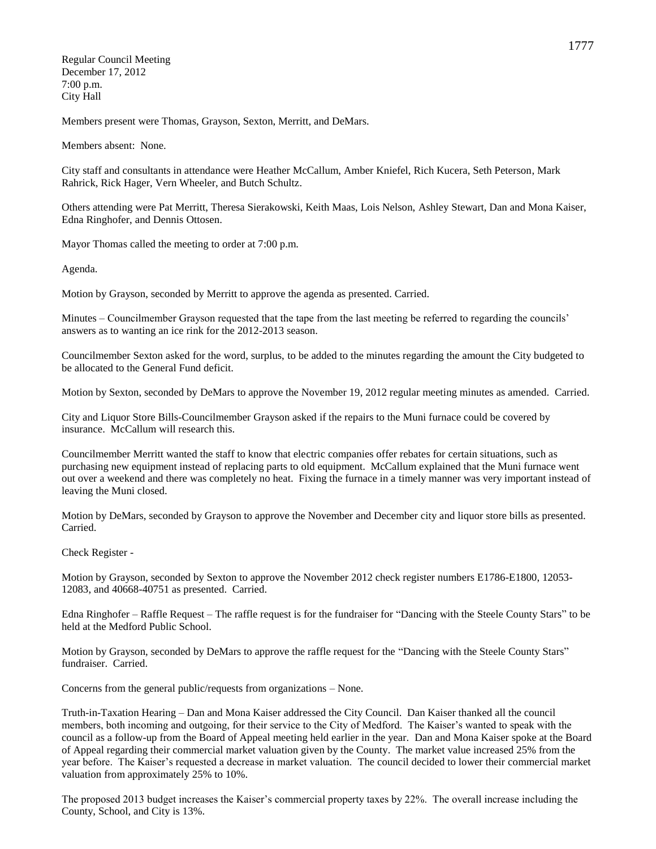Regular Council Meeting December 17, 2012 7:00 p.m. City Hall

Members present were Thomas, Grayson, Sexton, Merritt, and DeMars.

Members absent: None.

City staff and consultants in attendance were Heather McCallum, Amber Kniefel, Rich Kucera, Seth Peterson, Mark Rahrick, Rick Hager, Vern Wheeler, and Butch Schultz.

Others attending were Pat Merritt, Theresa Sierakowski, Keith Maas, Lois Nelson, Ashley Stewart, Dan and Mona Kaiser, Edna Ringhofer, and Dennis Ottosen.

Mayor Thomas called the meeting to order at 7:00 p.m.

Agenda.

Motion by Grayson, seconded by Merritt to approve the agenda as presented. Carried.

Minutes – Councilmember Grayson requested that the tape from the last meeting be referred to regarding the councils' answers as to wanting an ice rink for the 2012-2013 season.

Councilmember Sexton asked for the word, surplus, to be added to the minutes regarding the amount the City budgeted to be allocated to the General Fund deficit.

Motion by Sexton, seconded by DeMars to approve the November 19, 2012 regular meeting minutes as amended. Carried.

City and Liquor Store Bills-Councilmember Grayson asked if the repairs to the Muni furnace could be covered by insurance. McCallum will research this.

Councilmember Merritt wanted the staff to know that electric companies offer rebates for certain situations, such as purchasing new equipment instead of replacing parts to old equipment. McCallum explained that the Muni furnace went out over a weekend and there was completely no heat. Fixing the furnace in a timely manner was very important instead of leaving the Muni closed.

Motion by DeMars, seconded by Grayson to approve the November and December city and liquor store bills as presented. Carried.

Check Register -

Motion by Grayson, seconded by Sexton to approve the November 2012 check register numbers E1786-E1800, 12053- 12083, and 40668-40751 as presented. Carried.

Edna Ringhofer – Raffle Request – The raffle request is for the fundraiser for "Dancing with the Steele County Stars" to be held at the Medford Public School.

Motion by Grayson, seconded by DeMars to approve the raffle request for the "Dancing with the Steele County Stars" fundraiser. Carried.

Concerns from the general public/requests from organizations – None.

Truth-in-Taxation Hearing – Dan and Mona Kaiser addressed the City Council. Dan Kaiser thanked all the council members, both incoming and outgoing, for their service to the City of Medford. The Kaiser's wanted to speak with the council as a follow-up from the Board of Appeal meeting held earlier in the year. Dan and Mona Kaiser spoke at the Board of Appeal regarding their commercial market valuation given by the County. The market value increased 25% from the year before. The Kaiser's requested a decrease in market valuation. The council decided to lower their commercial market valuation from approximately 25% to 10%.

The proposed 2013 budget increases the Kaiser's commercial property taxes by 22%. The overall increase including the County, School, and City is 13%.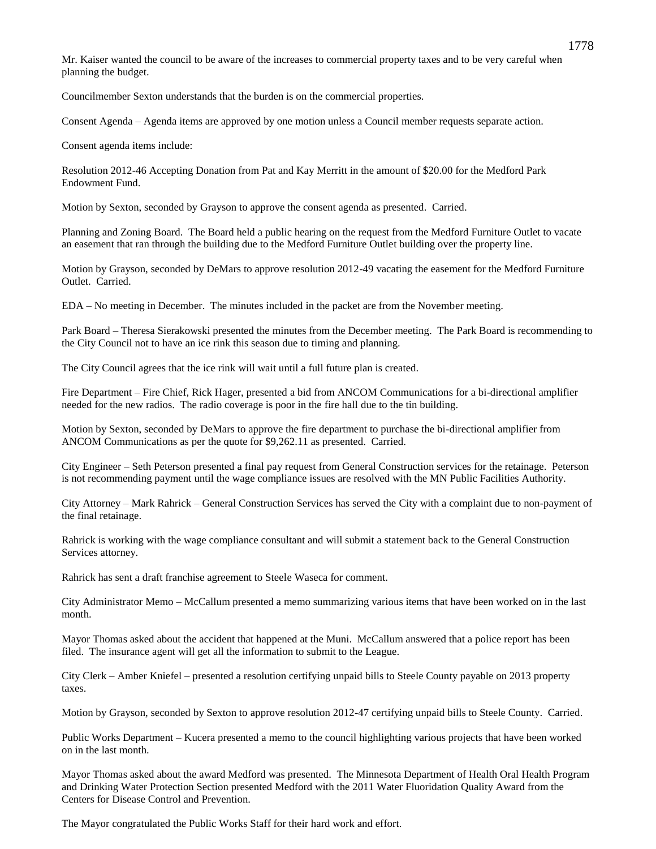Mr. Kaiser wanted the council to be aware of the increases to commercial property taxes and to be very careful when planning the budget.

Councilmember Sexton understands that the burden is on the commercial properties.

Consent Agenda – Agenda items are approved by one motion unless a Council member requests separate action.

Consent agenda items include:

Resolution 2012-46 Accepting Donation from Pat and Kay Merritt in the amount of \$20.00 for the Medford Park Endowment Fund.

Motion by Sexton, seconded by Grayson to approve the consent agenda as presented. Carried.

Planning and Zoning Board. The Board held a public hearing on the request from the Medford Furniture Outlet to vacate an easement that ran through the building due to the Medford Furniture Outlet building over the property line.

Motion by Grayson, seconded by DeMars to approve resolution 2012-49 vacating the easement for the Medford Furniture Outlet. Carried.

EDA – No meeting in December. The minutes included in the packet are from the November meeting.

Park Board – Theresa Sierakowski presented the minutes from the December meeting. The Park Board is recommending to the City Council not to have an ice rink this season due to timing and planning.

The City Council agrees that the ice rink will wait until a full future plan is created.

Fire Department – Fire Chief, Rick Hager, presented a bid from ANCOM Communications for a bi-directional amplifier needed for the new radios. The radio coverage is poor in the fire hall due to the tin building.

Motion by Sexton, seconded by DeMars to approve the fire department to purchase the bi-directional amplifier from ANCOM Communications as per the quote for \$9,262.11 as presented. Carried.

City Engineer – Seth Peterson presented a final pay request from General Construction services for the retainage. Peterson is not recommending payment until the wage compliance issues are resolved with the MN Public Facilities Authority.

City Attorney – Mark Rahrick – General Construction Services has served the City with a complaint due to non-payment of the final retainage.

Rahrick is working with the wage compliance consultant and will submit a statement back to the General Construction Services attorney.

Rahrick has sent a draft franchise agreement to Steele Waseca for comment.

City Administrator Memo – McCallum presented a memo summarizing various items that have been worked on in the last month.

Mayor Thomas asked about the accident that happened at the Muni. McCallum answered that a police report has been filed. The insurance agent will get all the information to submit to the League.

City Clerk – Amber Kniefel – presented a resolution certifying unpaid bills to Steele County payable on 2013 property taxes.

Motion by Grayson, seconded by Sexton to approve resolution 2012-47 certifying unpaid bills to Steele County. Carried.

Public Works Department – Kucera presented a memo to the council highlighting various projects that have been worked on in the last month.

Mayor Thomas asked about the award Medford was presented. The Minnesota Department of Health Oral Health Program and Drinking Water Protection Section presented Medford with the 2011 Water Fluoridation Quality Award from the Centers for Disease Control and Prevention.

The Mayor congratulated the Public Works Staff for their hard work and effort.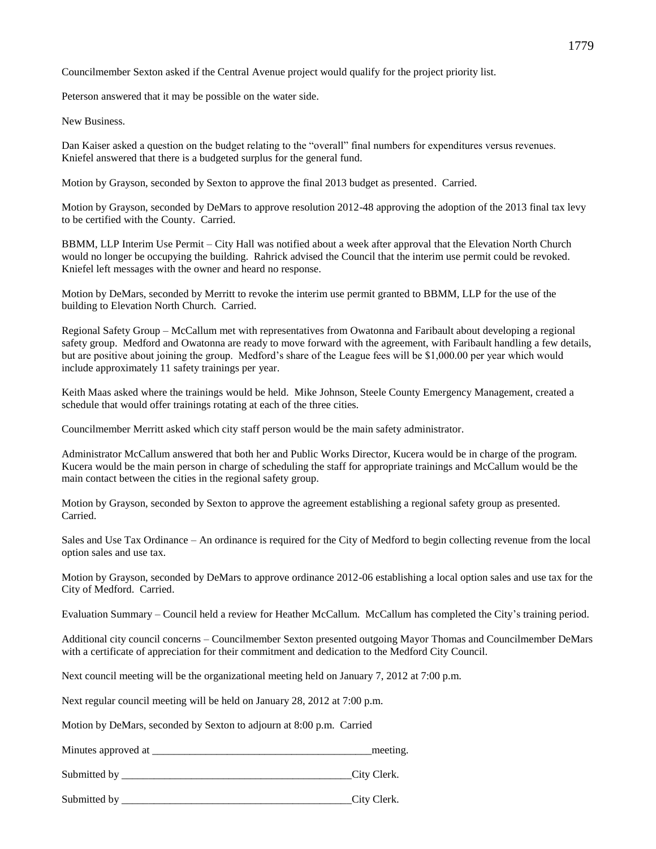Councilmember Sexton asked if the Central Avenue project would qualify for the project priority list.

Peterson answered that it may be possible on the water side.

New Business.

Dan Kaiser asked a question on the budget relating to the "overall" final numbers for expenditures versus revenues. Kniefel answered that there is a budgeted surplus for the general fund.

Motion by Grayson, seconded by Sexton to approve the final 2013 budget as presented. Carried.

Motion by Grayson, seconded by DeMars to approve resolution 2012-48 approving the adoption of the 2013 final tax levy to be certified with the County. Carried.

BBMM, LLP Interim Use Permit – City Hall was notified about a week after approval that the Elevation North Church would no longer be occupying the building. Rahrick advised the Council that the interim use permit could be revoked. Kniefel left messages with the owner and heard no response.

Motion by DeMars, seconded by Merritt to revoke the interim use permit granted to BBMM, LLP for the use of the building to Elevation North Church. Carried.

Regional Safety Group – McCallum met with representatives from Owatonna and Faribault about developing a regional safety group. Medford and Owatonna are ready to move forward with the agreement, with Faribault handling a few details, but are positive about joining the group. Medford's share of the League fees will be \$1,000.00 per year which would include approximately 11 safety trainings per year.

Keith Maas asked where the trainings would be held. Mike Johnson, Steele County Emergency Management, created a schedule that would offer trainings rotating at each of the three cities.

Councilmember Merritt asked which city staff person would be the main safety administrator.

Administrator McCallum answered that both her and Public Works Director, Kucera would be in charge of the program. Kucera would be the main person in charge of scheduling the staff for appropriate trainings and McCallum would be the main contact between the cities in the regional safety group.

Motion by Grayson, seconded by Sexton to approve the agreement establishing a regional safety group as presented. Carried.

Sales and Use Tax Ordinance – An ordinance is required for the City of Medford to begin collecting revenue from the local option sales and use tax.

Motion by Grayson, seconded by DeMars to approve ordinance 2012-06 establishing a local option sales and use tax for the City of Medford. Carried.

Evaluation Summary – Council held a review for Heather McCallum. McCallum has completed the City's training period.

Additional city council concerns – Councilmember Sexton presented outgoing Mayor Thomas and Councilmember DeMars with a certificate of appreciation for their commitment and dedication to the Medford City Council.

Next council meeting will be the organizational meeting held on January 7, 2012 at 7:00 p.m.

Next regular council meeting will be held on January 28, 2012 at 7:00 p.m.

Motion by DeMars, seconded by Sexton to adjourn at 8:00 p.m. Carried

Minutes approved at the meeting.

Submitted by City Clerk.